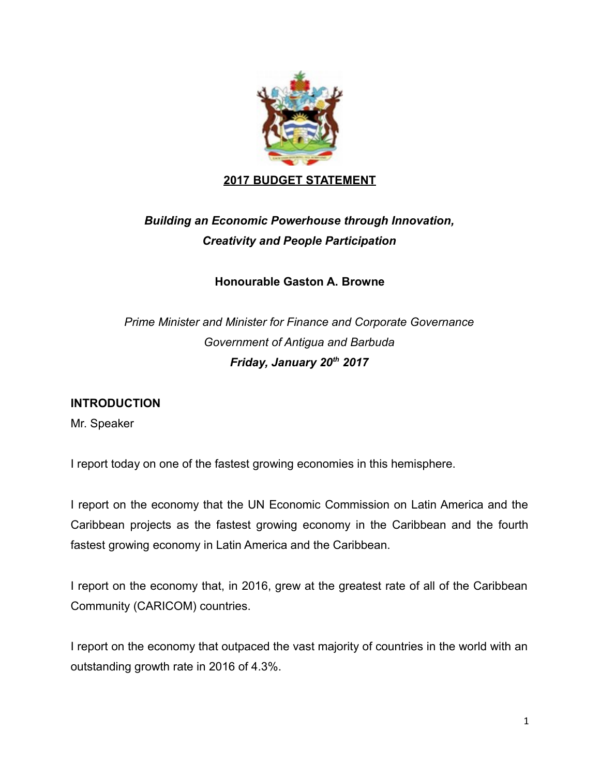

# *Building an Economic Powerhouse through Innovation, Creativity and People Participation*

**Honourable Gaston A. Browne**

*Prime Minister and Minister for Finance and Corporate Governance Government of Antigua and Barbuda Friday, January 20th 2017*

# **INTRODUCTION**

Mr. Speaker

I report today on one of the fastest growing economies in this hemisphere.

I report on the economy that the UN Economic Commission on Latin America and the Caribbean projects as the fastest growing economy in the Caribbean and the fourth fastest growing economy in Latin America and the Caribbean.

I report on the economy that, in 2016, grew at the greatest rate of all of the Caribbean Community (CARICOM) countries.

I report on the economy that outpaced the vast majority of countries in the world with an outstanding growth rate in 2016 of 4.3%.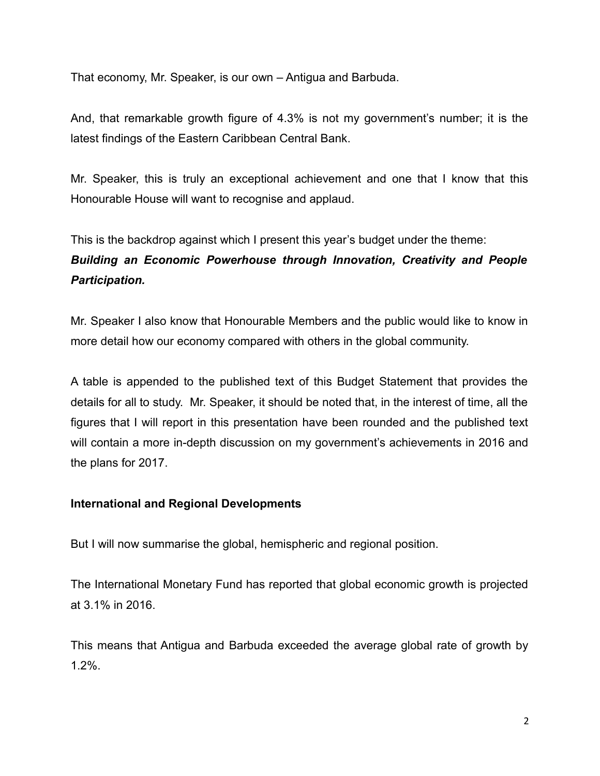That economy, Mr. Speaker, is our own – Antigua and Barbuda.

And, that remarkable growth figure of 4.3% is not my government's number; it is the latest findings of the Eastern Caribbean Central Bank.

Mr. Speaker, this is truly an exceptional achievement and one that I know that this Honourable House will want to recognise and applaud.

This is the backdrop against which I present this year's budget under the theme: *Building an Economic Powerhouse through Innovation, Creativity and People Participation.*

Mr. Speaker I also know that Honourable Members and the public would like to know in more detail how our economy compared with others in the global community.

A table is appended to the published text of this Budget Statement that provides the details for all to study. Mr. Speaker, it should be noted that, in the interest of time, all the figures that I will report in this presentation have been rounded and the published text will contain a more in-depth discussion on my government's achievements in 2016 and the plans for 2017.

# **International and Regional Developments**

But I will now summarise the global, hemispheric and regional position.

The International Monetary Fund has reported that global economic growth is projected at 3.1% in 2016.

This means that Antigua and Barbuda exceeded the average global rate of growth by 1.2%.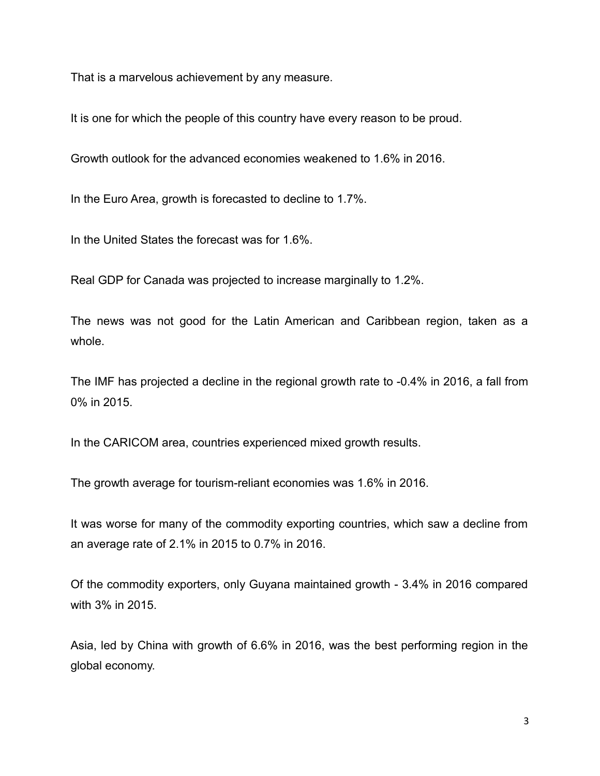That is a marvelous achievement by any measure.

It is one for which the people of this country have every reason to be proud.

Growth outlook for the advanced economies weakened to 1.6% in 2016.

In the Euro Area, growth is forecasted to decline to 1.7%.

In the United States the forecast was for 1.6%.

Real GDP for Canada was projected to increase marginally to 1.2%.

The news was not good for the Latin American and Caribbean region, taken as a whole.

The IMF has projected a decline in the regional growth rate to -0.4% in 2016, a fall from 0% in 2015.

In the CARICOM area, countries experienced mixed growth results.

The growth average for tourism-reliant economies was 1.6% in 2016.

It was worse for many of the commodity exporting countries, which saw a decline from an average rate of 2.1% in 2015 to 0.7% in 2016.

Of the commodity exporters, only Guyana maintained growth - 3.4% in 2016 compared with 3% in 2015.

Asia, led by China with growth of 6.6% in 2016, was the best performing region in the global economy.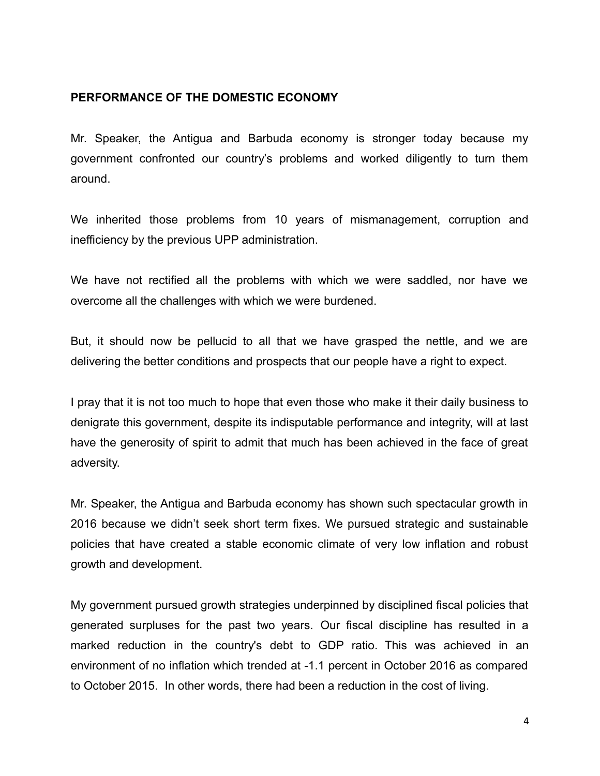# **PERFORMANCE OF THE DOMESTIC ECONOMY**

Mr. Speaker, the Antigua and Barbuda economy is stronger today because my government confronted our country's problems and worked diligently to turn them around.

We inherited those problems from 10 years of mismanagement, corruption and inefficiency by the previous UPP administration.

We have not rectified all the problems with which we were saddled, nor have we overcome all the challenges with which we were burdened.

But, it should now be pellucid to all that we have grasped the nettle, and we are delivering the better conditions and prospects that our people have a right to expect.

I pray that it is not too much to hope that even those who make it their daily business to denigrate this government, despite its indisputable performance and integrity, will at last have the generosity of spirit to admit that much has been achieved in the face of great adversity.

Mr. Speaker, the Antigua and Barbuda economy has shown such spectacular growth in 2016 because we didn't seek short term fixes. We pursued strategic and sustainable policies that have created a stable economic climate of very low inflation and robust growth and development.

My government pursued growth strategies underpinned by disciplined fiscal policies that generated surpluses for the past two years. Our fiscal discipline has resulted in a marked reduction in the country's debt to GDP ratio. This was achieved in an environment of no inflation which trended at -1.1 percent in October 2016 as compared to October 2015. In other words, there had been a reduction in the cost of living.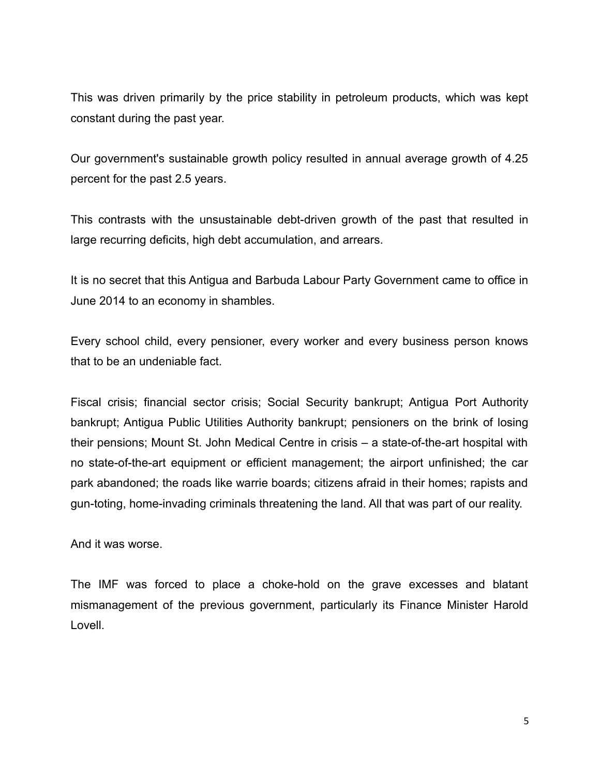This was driven primarily by the price stability in petroleum products, which was kept constant during the past year.

Our government's sustainable growth policy resulted in annual average growth of 4.25 percent for the past 2.5 years.

This contrasts with the unsustainable debt-driven growth of the past that resulted in large recurring deficits, high debt accumulation, and arrears.

It is no secret that this Antigua and Barbuda Labour Party Government came to office in June 2014 to an economy in shambles.

Every school child, every pensioner, every worker and every business person knows that to be an undeniable fact.

Fiscal crisis; financial sector crisis; Social Security bankrupt; Antigua Port Authority bankrupt; Antigua Public Utilities Authority bankrupt; pensioners on the brink of losing their pensions; Mount St. John Medical Centre in crisis – a state-of-the-art hospital with no state-of-the-art equipment or efficient management; the airport unfinished; the car park abandoned; the roads like warrie boards; citizens afraid in their homes; rapists and gun-toting, home-invading criminals threatening the land. All that was part of our reality.

And it was worse.

The IMF was forced to place a choke-hold on the grave excesses and blatant mismanagement of the previous government, particularly its Finance Minister Harold Lovell.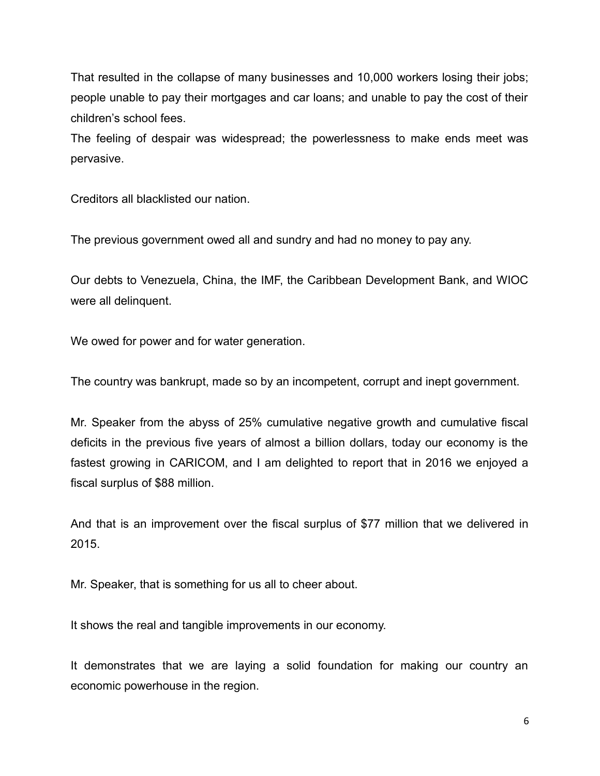That resulted in the collapse of many businesses and 10,000 workers losing their jobs; people unable to pay their mortgages and car loans; and unable to pay the cost of their children's school fees.

The feeling of despair was widespread; the powerlessness to make ends meet was pervasive.

Creditors all blacklisted our nation.

The previous government owed all and sundry and had no money to pay any.

Our debts to Venezuela, China, the IMF, the Caribbean Development Bank, and WIOC were all delinquent.

We owed for power and for water generation.

The country was bankrupt, made so by an incompetent, corrupt and inept government.

Mr. Speaker from the abyss of 25% cumulative negative growth and cumulative fiscal deficits in the previous five years of almost a billion dollars, today our economy is the fastest growing in CARICOM, and I am delighted to report that in 2016 we enjoyed a fiscal surplus of \$88 million.

And that is an improvement over the fiscal surplus of \$77 million that we delivered in 2015.

Mr. Speaker, that is something for us all to cheer about.

It shows the real and tangible improvements in our economy.

It demonstrates that we are laying a solid foundation for making our country an economic powerhouse in the region.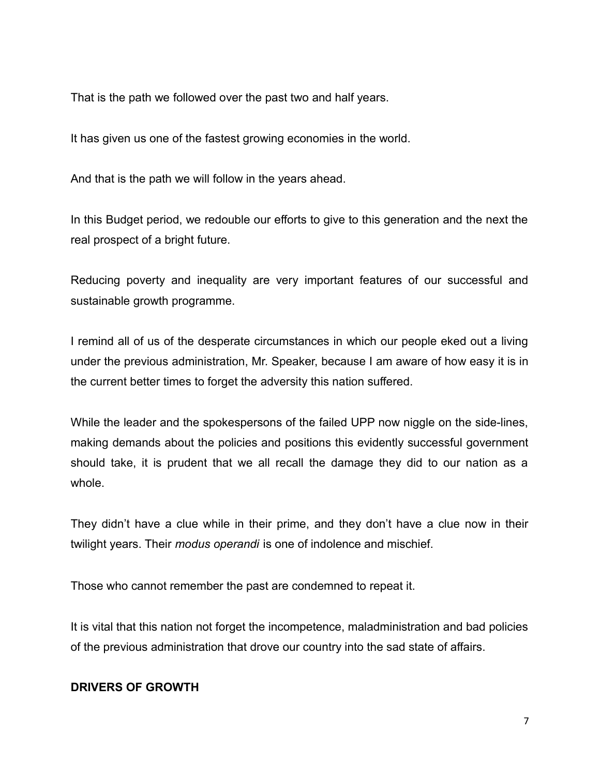That is the path we followed over the past two and half years.

It has given us one of the fastest growing economies in the world.

And that is the path we will follow in the years ahead.

In this Budget period, we redouble our efforts to give to this generation and the next the real prospect of a bright future.

Reducing poverty and inequality are very important features of our successful and sustainable growth programme.

I remind all of us of the desperate circumstances in which our people eked out a living under the previous administration, Mr. Speaker, because I am aware of how easy it is in the current better times to forget the adversity this nation suffered.

While the leader and the spokespersons of the failed UPP now niggle on the side-lines, making demands about the policies and positions this evidently successful government should take, it is prudent that we all recall the damage they did to our nation as a whole.

They didn't have a clue while in their prime, and they don't have a clue now in their twilight years. Their *modus operandi* is one of indolence and mischief.

Those who cannot remember the past are condemned to repeat it.

It is vital that this nation not forget the incompetence, maladministration and bad policies of the previous administration that drove our country into the sad state of affairs.

# **DRIVERS OF GROWTH**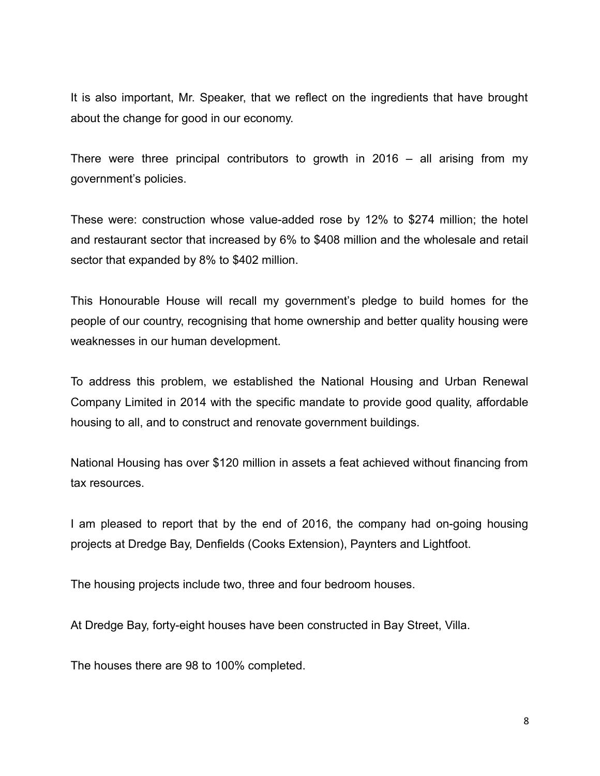It is also important, Mr. Speaker, that we reflect on the ingredients that have brought about the change for good in our economy.

There were three principal contributors to growth in 2016 – all arising from my government's policies.

These were: construction whose value-added rose by 12% to \$274 million; the hotel and restaurant sector that increased by 6% to \$408 million and the wholesale and retail sector that expanded by 8% to \$402 million.

This Honourable House will recall my government's pledge to build homes for the people of our country, recognising that home ownership and better quality housing were weaknesses in our human development.

To address this problem, we established the National Housing and Urban Renewal Company Limited in 2014 with the specific mandate to provide good quality, affordable housing to all, and to construct and renovate government buildings.

National Housing has over \$120 million in assets a feat achieved without financing from tax resources.

I am pleased to report that by the end of 2016, the company had on-going housing projects at Dredge Bay, Denfields (Cooks Extension), Paynters and Lightfoot.

The housing projects include two, three and four bedroom houses.

At Dredge Bay, forty-eight houses have been constructed in Bay Street, Villa.

The houses there are 98 to 100% completed.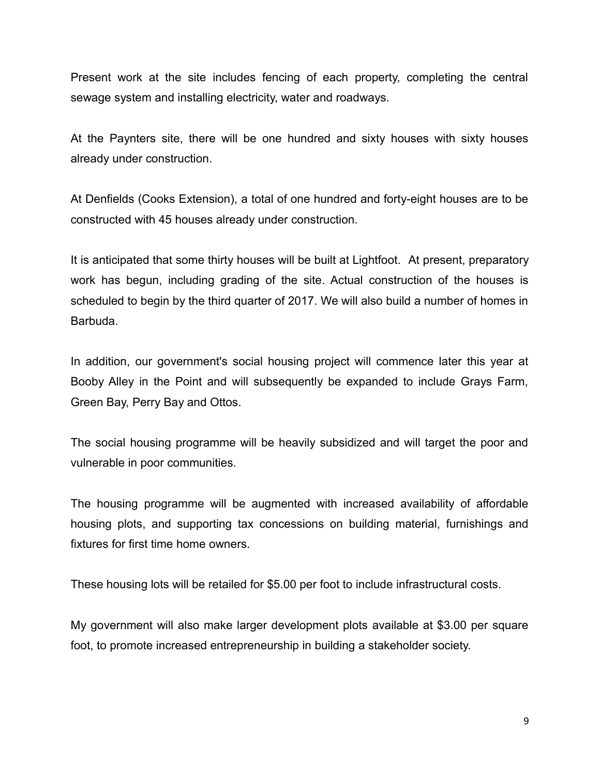Present work at the site includes fencing of each property, completing the central sewage system and installing electricity, water and roadways.

At the Paynters site, there will be one hundred and sixty houses with sixty houses already under construction.

At Denfields (Cooks Extension), a total of one hundred and forty-eight houses are to be constructed with 45 houses already under construction.

It is anticipated that some thirty houses will be built at Lightfoot. At present, preparatory work has begun, including grading of the site. Actual construction of the houses is scheduled to begin by the third quarter of 2017. We will also build a number of homes in Barbuda.

In addition, our government's social housing project will commence later this year at Booby Alley in the Point and will subsequently be expanded to include Grays Farm, Green Bay, Perry Bay and Ottos.

The social housing programme will be heavily subsidized and will target the poor and vulnerable in poor communities.

The housing programme will be augmented with increased availability of affordable housing plots, and supporting tax concessions on building material, furnishings and fixtures for first time home owners.

These housing lots will be retailed for \$5.00 per foot to include infrastructural costs.

My government will also make larger development plots available at \$3.00 per square foot, to promote increased entrepreneurship in building a stakeholder society.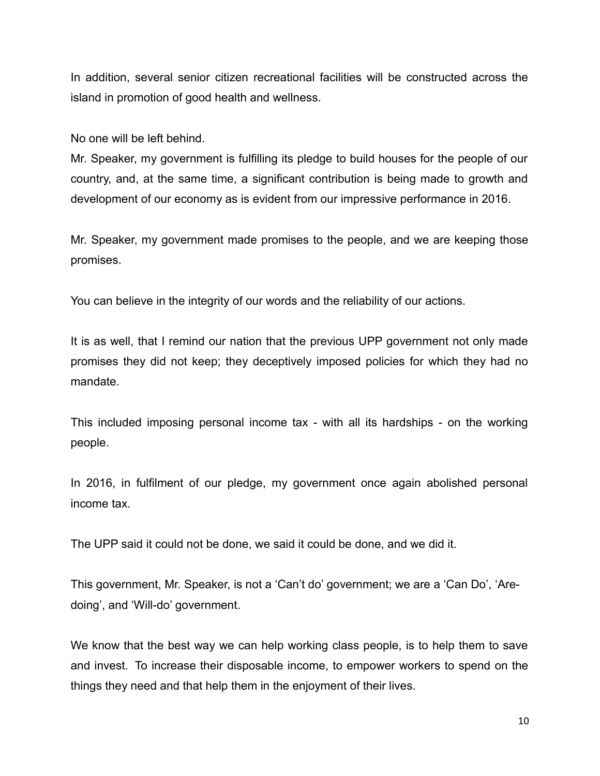In addition, several senior citizen recreational facilities will be constructed across the island in promotion of good health and wellness.

No one will be left behind.

Mr. Speaker, my government is fulfilling its pledge to build houses for the people of our country, and, at the same time, a significant contribution is being made to growth and development of our economy as is evident from our impressive performance in 2016.

Mr. Speaker, my government made promises to the people, and we are keeping those promises.

You can believe in the integrity of our words and the reliability of our actions.

It is as well, that I remind our nation that the previous UPP government not only made promises they did not keep; they deceptively imposed policies for which they had no mandate.

This included imposing personal income tax - with all its hardships - on the working people.

In 2016, in fulfilment of our pledge, my government once again abolished personal income tax.

The UPP said it could not be done, we said it could be done, and we did it.

This government, Mr. Speaker, is not a 'Can't do' government; we are a 'Can Do', 'Aredoing', and 'Will-do' government.

We know that the best way we can help working class people, is to help them to save and invest. To increase their disposable income, to empower workers to spend on the things they need and that help them in the enjoyment of their lives.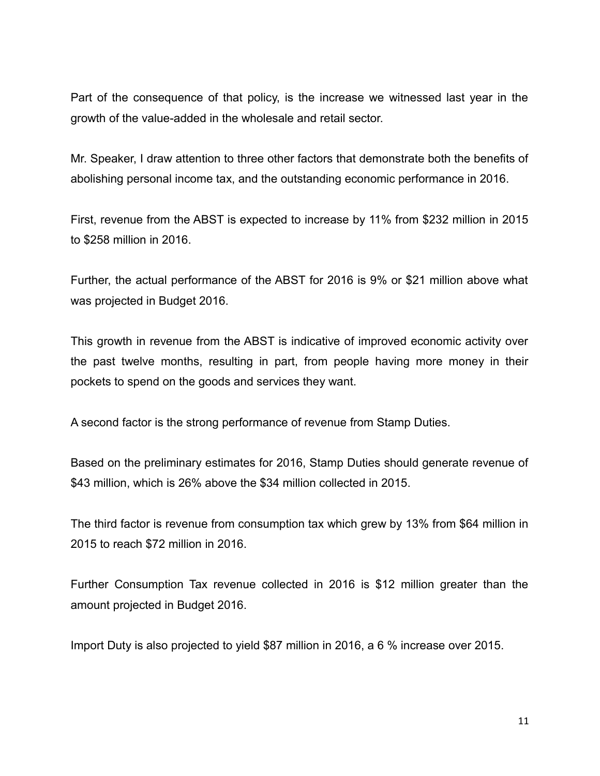Part of the consequence of that policy, is the increase we witnessed last year in the growth of the value-added in the wholesale and retail sector.

Mr. Speaker, I draw attention to three other factors that demonstrate both the benefits of abolishing personal income tax, and the outstanding economic performance in 2016.

First, revenue from the ABST is expected to increase by 11% from \$232 million in 2015 to \$258 million in 2016.

Further, the actual performance of the ABST for 2016 is 9% or \$21 million above what was projected in Budget 2016.

This growth in revenue from the ABST is indicative of improved economic activity over the past twelve months, resulting in part, from people having more money in their pockets to spend on the goods and services they want.

A second factor is the strong performance of revenue from Stamp Duties.

Based on the preliminary estimates for 2016, Stamp Duties should generate revenue of \$43 million, which is 26% above the \$34 million collected in 2015.

The third factor is revenue from consumption tax which grew by 13% from \$64 million in 2015 to reach \$72 million in 2016.

Further Consumption Tax revenue collected in 2016 is \$12 million greater than the amount projected in Budget 2016.

Import Duty is also projected to yield \$87 million in 2016, a 6 % increase over 2015.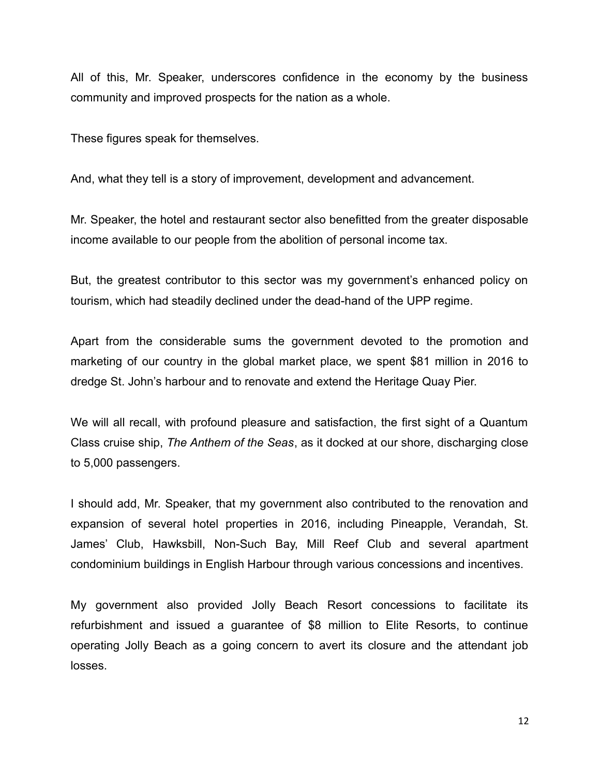All of this, Mr. Speaker, underscores confidence in the economy by the business community and improved prospects for the nation as a whole.

These figures speak for themselves.

And, what they tell is a story of improvement, development and advancement.

Mr. Speaker, the hotel and restaurant sector also benefitted from the greater disposable income available to our people from the abolition of personal income tax.

But, the greatest contributor to this sector was my government's enhanced policy on tourism, which had steadily declined under the dead-hand of the UPP regime.

Apart from the considerable sums the government devoted to the promotion and marketing of our country in the global market place, we spent \$81 million in 2016 to dredge St. John's harbour and to renovate and extend the Heritage Quay Pier.

We will all recall, with profound pleasure and satisfaction, the first sight of a Quantum Class cruise ship, *The Anthem of the Seas*, as it docked at our shore, discharging close to 5,000 passengers.

I should add, Mr. Speaker, that my government also contributed to the renovation and expansion of several hotel properties in 2016, including Pineapple, Verandah, St. James' Club, Hawksbill, Non-Such Bay, Mill Reef Club and several apartment condominium buildings in English Harbour through various concessions and incentives.

My government also provided Jolly Beach Resort concessions to facilitate its refurbishment and issued a guarantee of \$8 million to Elite Resorts, to continue operating Jolly Beach as a going concern to avert its closure and the attendant job losses.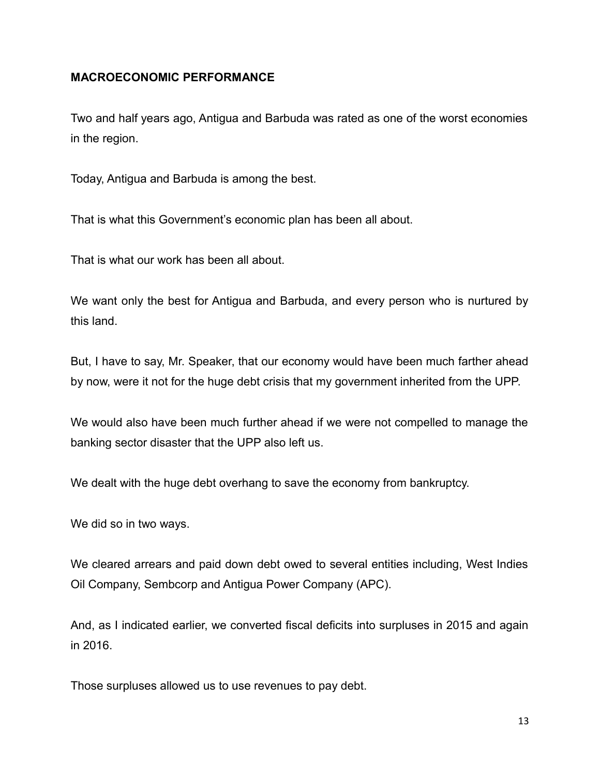# **MACROECONOMIC PERFORMANCE**

Two and half years ago, Antigua and Barbuda was rated as one of the worst economies in the region.

Today, Antigua and Barbuda is among the best.

That is what this Government's economic plan has been all about.

That is what our work has been all about.

We want only the best for Antigua and Barbuda, and every person who is nurtured by this land.

But, I have to say, Mr. Speaker, that our economy would have been much farther ahead by now, were it not for the huge debt crisis that my government inherited from the UPP.

We would also have been much further ahead if we were not compelled to manage the banking sector disaster that the UPP also left us.

We dealt with the huge debt overhang to save the economy from bankruptcy.

We did so in two ways.

We cleared arrears and paid down debt owed to several entities including, West Indies Oil Company, Sembcorp and Antigua Power Company (APC).

And, as I indicated earlier, we converted fiscal deficits into surpluses in 2015 and again in 2016.

Those surpluses allowed us to use revenues to pay debt.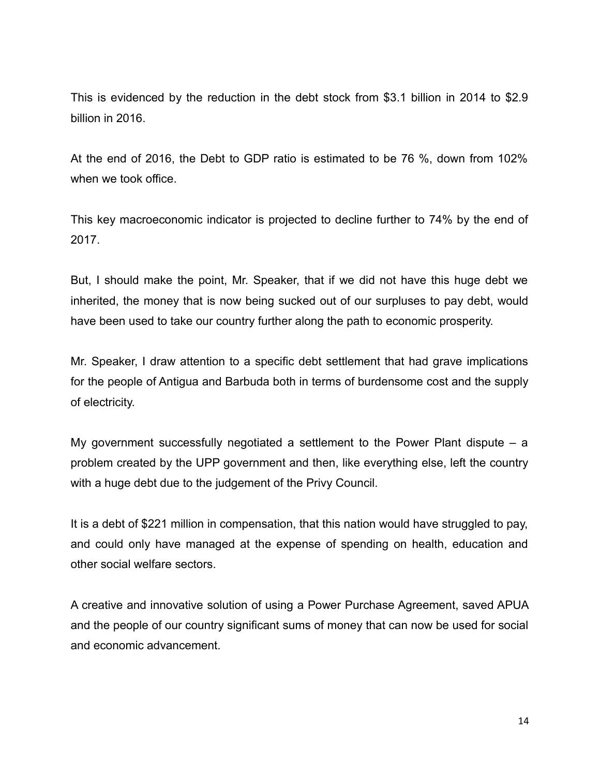This is evidenced by the reduction in the debt stock from \$3.1 billion in 2014 to \$2.9 billion in 2016.

At the end of 2016, the Debt to GDP ratio is estimated to be 76 %, down from 102% when we took office.

This key macroeconomic indicator is projected to decline further to 74% by the end of 2017.

But, I should make the point, Mr. Speaker, that if we did not have this huge debt we inherited, the money that is now being sucked out of our surpluses to pay debt, would have been used to take our country further along the path to economic prosperity.

Mr. Speaker, I draw attention to a specific debt settlement that had grave implications for the people of Antigua and Barbuda both in terms of burdensome cost and the supply of electricity.

My government successfully negotiated a settlement to the Power Plant dispute – a problem created by the UPP government and then, like everything else, left the country with a huge debt due to the judgement of the Privy Council.

It is a debt of \$221 million in compensation, that this nation would have struggled to pay, and could only have managed at the expense of spending on health, education and other social welfare sectors.

A creative and innovative solution of using a Power Purchase Agreement, saved APUA and the people of our country significant sums of money that can now be used for social and economic advancement.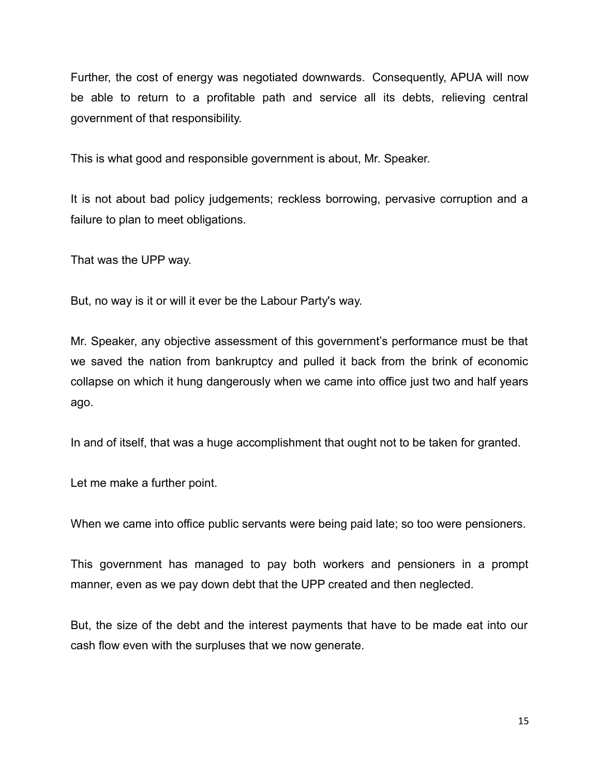Further, the cost of energy was negotiated downwards. Consequently, APUA will now be able to return to a profitable path and service all its debts, relieving central government of that responsibility.

This is what good and responsible government is about, Mr. Speaker.

It is not about bad policy judgements; reckless borrowing, pervasive corruption and a failure to plan to meet obligations.

That was the UPP way.

But, no way is it or will it ever be the Labour Party's way.

Mr. Speaker, any objective assessment of this government's performance must be that we saved the nation from bankruptcy and pulled it back from the brink of economic collapse on which it hung dangerously when we came into office just two and half years ago.

In and of itself, that was a huge accomplishment that ought not to be taken for granted.

Let me make a further point.

When we came into office public servants were being paid late; so too were pensioners.

This government has managed to pay both workers and pensioners in a prompt manner, even as we pay down debt that the UPP created and then neglected.

But, the size of the debt and the interest payments that have to be made eat into our cash flow even with the surpluses that we now generate.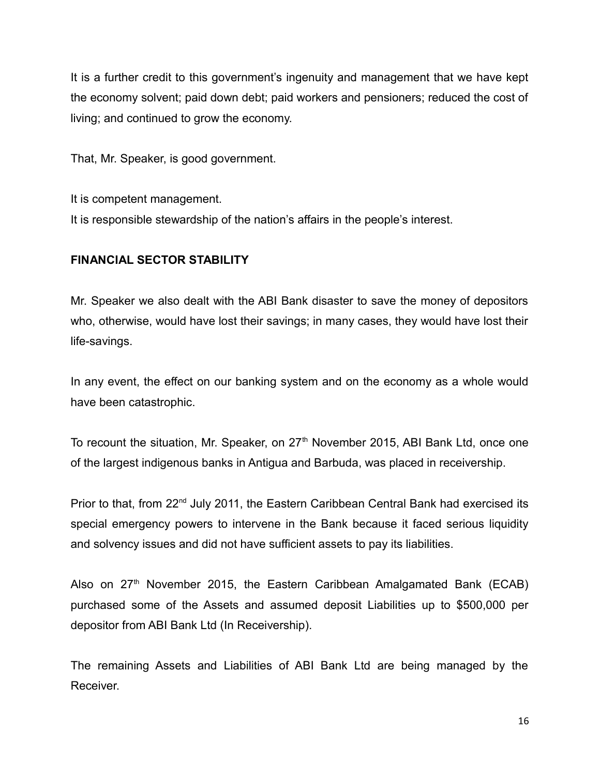It is a further credit to this government's ingenuity and management that we have kept the economy solvent; paid down debt; paid workers and pensioners; reduced the cost of living; and continued to grow the economy.

That, Mr. Speaker, is good government.

It is competent management.

It is responsible stewardship of the nation's affairs in the people's interest.

# **FINANCIAL SECTOR STABILITY**

Mr. Speaker we also dealt with the ABI Bank disaster to save the money of depositors who, otherwise, would have lost their savings; in many cases, they would have lost their life-savings.

In any event, the effect on our banking system and on the economy as a whole would have been catastrophic.

To recount the situation, Mr. Speaker, on  $27<sup>th</sup>$  November 2015, ABI Bank Ltd, once one of the largest indigenous banks in Antigua and Barbuda, was placed in receivership.

Prior to that, from 22<sup>nd</sup> July 2011, the Eastern Caribbean Central Bank had exercised its special emergency powers to intervene in the Bank because it faced serious liquidity and solvency issues and did not have sufficient assets to pay its liabilities.

Also on  $27<sup>th</sup>$  November 2015, the Eastern Caribbean Amalgamated Bank (ECAB) purchased some of the Assets and assumed deposit Liabilities up to \$500,000 per depositor from ABI Bank Ltd (In Receivership).

The remaining Assets and Liabilities of ABI Bank Ltd are being managed by the Receiver.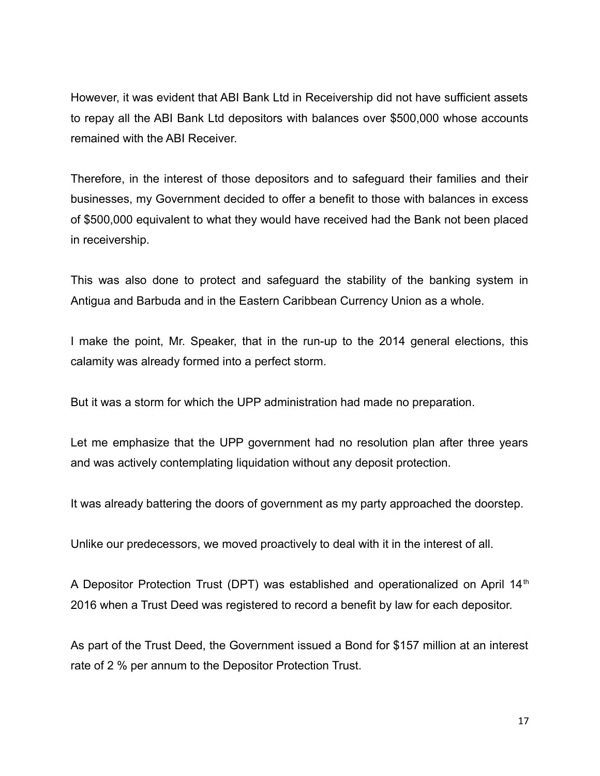However, it was evident that ABI Bank Ltd in Receivership did not have sufficient assets to repay all the ABI Bank Ltd depositors with balances over \$500,000 whose accounts remained with the ABI Receiver.

Therefore, in the interest of those depositors and to safeguard their families and their businesses, my Government decided to offer a benefit to those with balances in excess of \$500,000 equivalent to what they would have received had the Bank not been placed in receivership.

This was also done to protect and safeguard the stability of the banking system in Antigua and Barbuda and in the Eastern Caribbean Currency Union as a whole.

I make the point, Mr. Speaker, that in the run-up to the 2014 general elections, this calamity was already formed into a perfect storm.

But it was a storm for which the UPP administration had made no preparation.

Let me emphasize that the UPP government had no resolution plan after three years and was actively contemplating liquidation without any deposit protection.

It was already battering the doors of government as my party approached the doorstep.

Unlike our predecessors, we moved proactively to deal with it in the interest of all.

A Depositor Protection Trust (DPT) was established and operationalized on April 14<sup>th</sup> 2016 when a Trust Deed was registered to record a benefit by law for each depositor.

As part of the Trust Deed, the Government issued a Bond for \$157 million at an interest rate of 2 % per annum to the Depositor Protection Trust.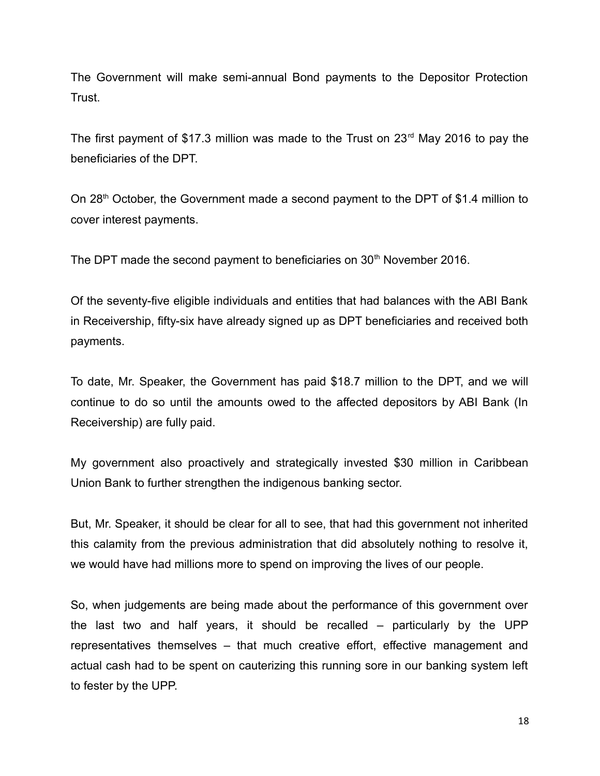The Government will make semi-annual Bond payments to the Depositor Protection Trust.

The first payment of \$17.3 million was made to the Trust on  $23<sup>rd</sup>$  May 2016 to pay the beneficiaries of the DPT.

On 28<sup>th</sup> October, the Government made a second payment to the DPT of \$1.4 million to cover interest payments.

The DPT made the second payment to beneficiaries on 30<sup>th</sup> November 2016.

Of the seventy-five eligible individuals and entities that had balances with the ABI Bank in Receivership, fifty-six have already signed up as DPT beneficiaries and received both payments.

To date, Mr. Speaker, the Government has paid \$18.7 million to the DPT, and we will continue to do so until the amounts owed to the affected depositors by ABI Bank (In Receivership) are fully paid.

My government also proactively and strategically invested \$30 million in Caribbean Union Bank to further strengthen the indigenous banking sector.

But, Mr. Speaker, it should be clear for all to see, that had this government not inherited this calamity from the previous administration that did absolutely nothing to resolve it, we would have had millions more to spend on improving the lives of our people.

So, when judgements are being made about the performance of this government over the last two and half years, it should be recalled – particularly by the UPP representatives themselves – that much creative effort, effective management and actual cash had to be spent on cauterizing this running sore in our banking system left to fester by the UPP.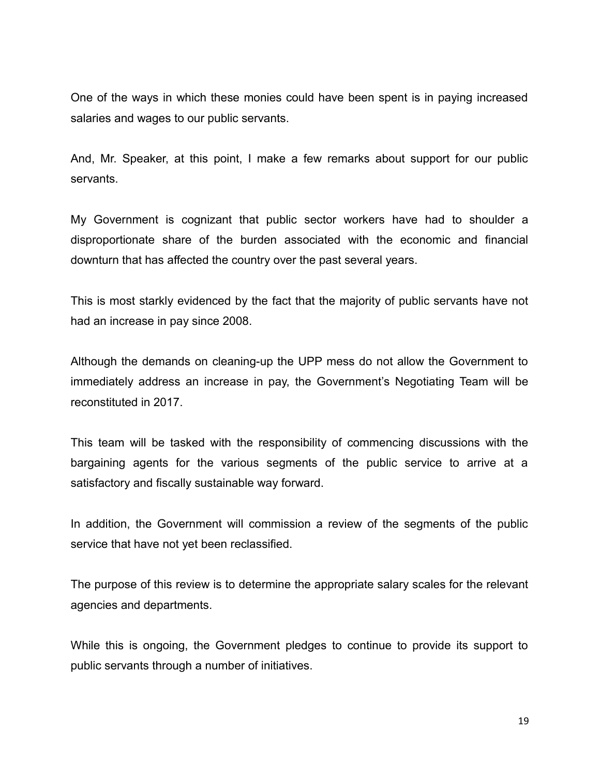One of the ways in which these monies could have been spent is in paying increased salaries and wages to our public servants.

And, Mr. Speaker, at this point, I make a few remarks about support for our public servants.

My Government is cognizant that public sector workers have had to shoulder a disproportionate share of the burden associated with the economic and financial downturn that has affected the country over the past several years.

This is most starkly evidenced by the fact that the majority of public servants have not had an increase in pay since 2008.

Although the demands on cleaning-up the UPP mess do not allow the Government to immediately address an increase in pay, the Government's Negotiating Team will be reconstituted in 2017.

This team will be tasked with the responsibility of commencing discussions with the bargaining agents for the various segments of the public service to arrive at a satisfactory and fiscally sustainable way forward.

In addition, the Government will commission a review of the segments of the public service that have not yet been reclassified.

The purpose of this review is to determine the appropriate salary scales for the relevant agencies and departments.

While this is ongoing, the Government pledges to continue to provide its support to public servants through a number of initiatives.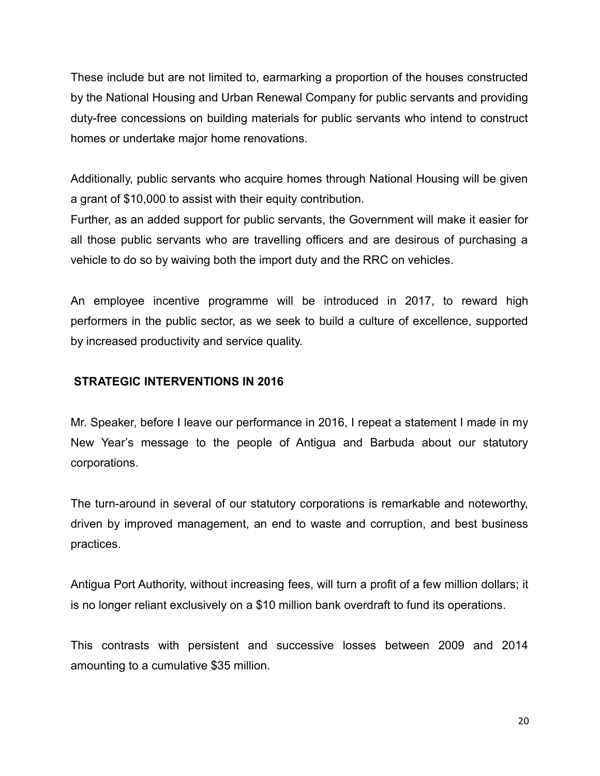These include but are not limited to, earmarking a proportion of the houses constructed by the National Housing and Urban Renewal Company for public servants and providing duty-free concessions on building materials for public servants who intend to construct homes or undertake major home renovations.

Additionally, public servants who acquire homes through National Housing will be given a grant of \$10,000 to assist with their equity contribution.

Further, as an added support for public servants, the Government will make it easier for all those public servants who are travelling officers and are desirous of purchasing a vehicle to do so by waiving both the import duty and the RRC on vehicles.

An employee incentive programme will be introduced in 2017, to reward high performers in the public sector, as we seek to build a culture of excellence, supported by increased productivity and service quality.

# **STRATEGIC INTERVENTIONS IN 2016**

Mr. Speaker, before I leave our performance in 2016, I repeat a statement I made in my New Year's message to the people of Antigua and Barbuda about our statutory corporations.

The turn-around in several of our statutory corporations is remarkable and noteworthy, driven by improved management, an end to waste and corruption, and best business practices.

Antigua Port Authority, without increasing fees, will turn a profit of a few million dollars; it is no longer reliant exclusively on a \$10 million bank overdraft to fund its operations.

This contrasts with persistent and successive losses between 2009 and 2014 amounting to a cumulative \$35 million.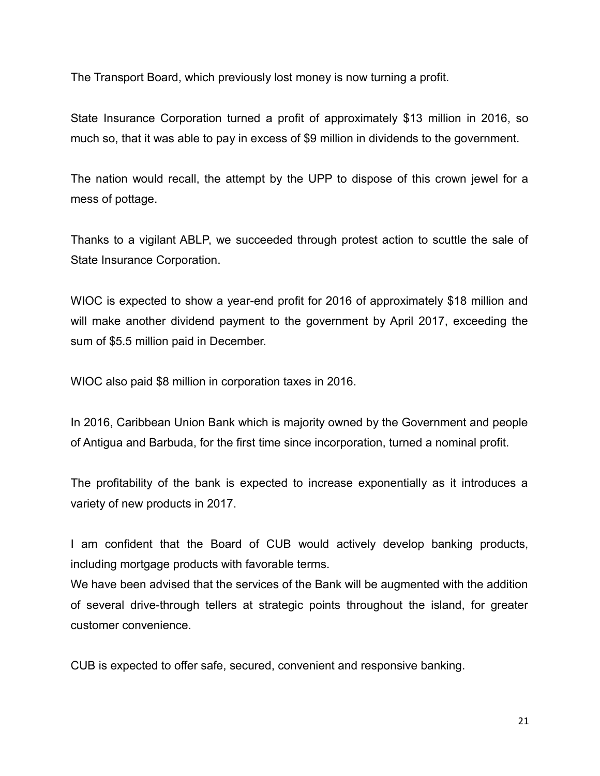The Transport Board, which previously lost money is now turning a profit.

State Insurance Corporation turned a profit of approximately \$13 million in 2016, so much so, that it was able to pay in excess of \$9 million in dividends to the government.

The nation would recall, the attempt by the UPP to dispose of this crown jewel for a mess of pottage.

Thanks to a vigilant ABLP, we succeeded through protest action to scuttle the sale of State Insurance Corporation.

WIOC is expected to show a year-end profit for 2016 of approximately \$18 million and will make another dividend payment to the government by April 2017, exceeding the sum of \$5.5 million paid in December.

WIOC also paid \$8 million in corporation taxes in 2016.

In 2016, Caribbean Union Bank which is majority owned by the Government and people of Antigua and Barbuda, for the first time since incorporation, turned a nominal profit.

The profitability of the bank is expected to increase exponentially as it introduces a variety of new products in 2017.

I am confident that the Board of CUB would actively develop banking products, including mortgage products with favorable terms.

We have been advised that the services of the Bank will be augmented with the addition of several drive-through tellers at strategic points throughout the island, for greater customer convenience.

CUB is expected to offer safe, secured, convenient and responsive banking.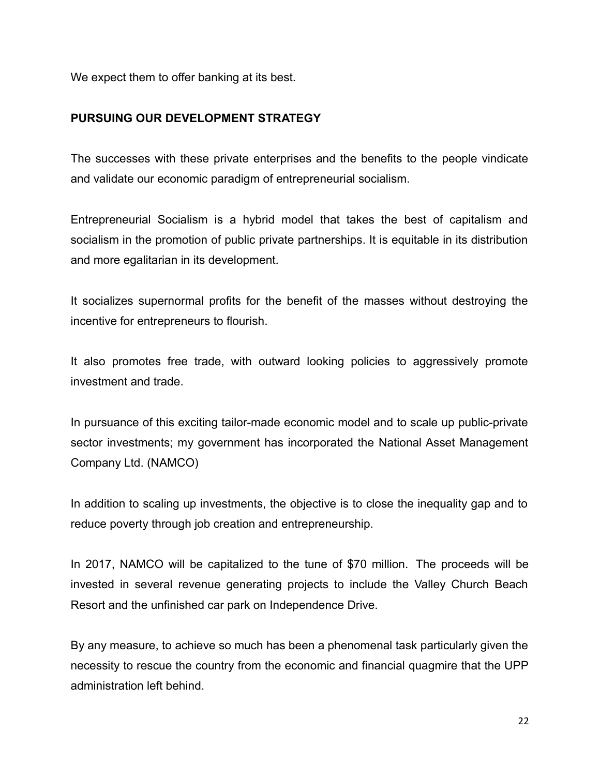We expect them to offer banking at its best.

# **PURSUING OUR DEVELOPMENT STRATEGY**

The successes with these private enterprises and the benefits to the people vindicate and validate our economic paradigm of entrepreneurial socialism.

Entrepreneurial Socialism is a hybrid model that takes the best of capitalism and socialism in the promotion of public private partnerships. It is equitable in its distribution and more egalitarian in its development.

It socializes supernormal profits for the benefit of the masses without destroying the incentive for entrepreneurs to flourish.

It also promotes free trade, with outward looking policies to aggressively promote investment and trade.

In pursuance of this exciting tailor-made economic model and to scale up public-private sector investments; my government has incorporated the National Asset Management Company Ltd. (NAMCO)

In addition to scaling up investments, the objective is to close the inequality gap and to reduce poverty through job creation and entrepreneurship.

In 2017, NAMCO will be capitalized to the tune of \$70 million. The proceeds will be invested in several revenue generating projects to include the Valley Church Beach Resort and the unfinished car park on Independence Drive.

By any measure, to achieve so much has been a phenomenal task particularly given the necessity to rescue the country from the economic and financial quagmire that the UPP administration left behind.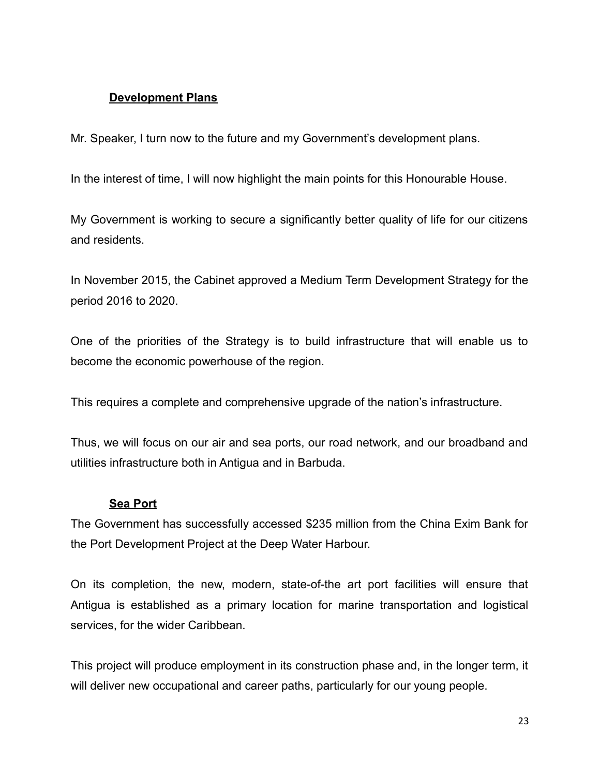# **Development Plans**

Mr. Speaker, I turn now to the future and my Government's development plans.

In the interest of time, I will now highlight the main points for this Honourable House.

My Government is working to secure a significantly better quality of life for our citizens and residents.

In November 2015, the Cabinet approved a Medium Term Development Strategy for the period 2016 to 2020.

One of the priorities of the Strategy is to build infrastructure that will enable us to become the economic powerhouse of the region.

This requires a complete and comprehensive upgrade of the nation's infrastructure.

Thus, we will focus on our air and sea ports, our road network, and our broadband and utilities infrastructure both in Antigua and in Barbuda.

# **Sea Port**

The Government has successfully accessed \$235 million from the China Exim Bank for the Port Development Project at the Deep Water Harbour.

On its completion, the new, modern, state-of-the art port facilities will ensure that Antigua is established as a primary location for marine transportation and logistical services, for the wider Caribbean.

This project will produce employment in its construction phase and, in the longer term, it will deliver new occupational and career paths, particularly for our young people.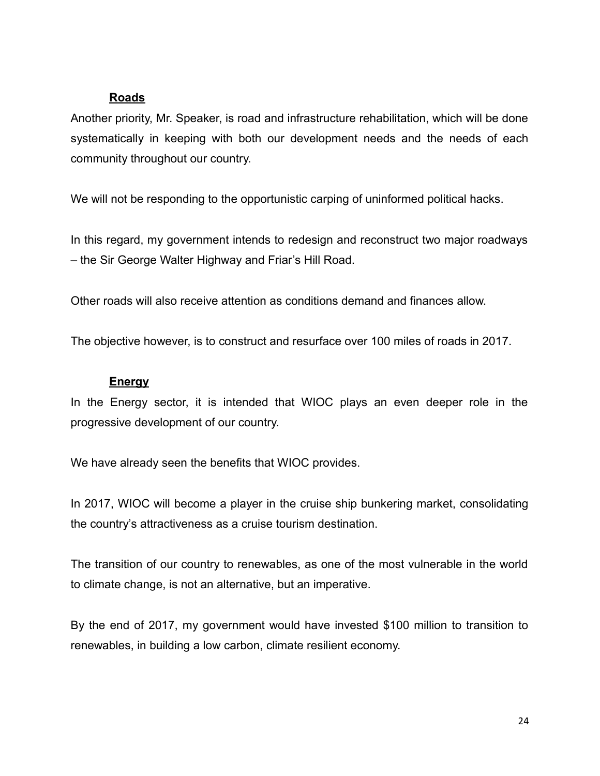#### **Roads**

Another priority, Mr. Speaker, is road and infrastructure rehabilitation, which will be done systematically in keeping with both our development needs and the needs of each community throughout our country.

We will not be responding to the opportunistic carping of uninformed political hacks.

In this regard, my government intends to redesign and reconstruct two major roadways – the Sir George Walter Highway and Friar's Hill Road.

Other roads will also receive attention as conditions demand and finances allow.

The objective however, is to construct and resurface over 100 miles of roads in 2017.

# **Energy**

In the Energy sector, it is intended that WIOC plays an even deeper role in the progressive development of our country.

We have already seen the benefits that WIOC provides.

In 2017, WIOC will become a player in the cruise ship bunkering market, consolidating the country's attractiveness as a cruise tourism destination.

The transition of our country to renewables, as one of the most vulnerable in the world to climate change, is not an alternative, but an imperative.

By the end of 2017, my government would have invested \$100 million to transition to renewables, in building a low carbon, climate resilient economy.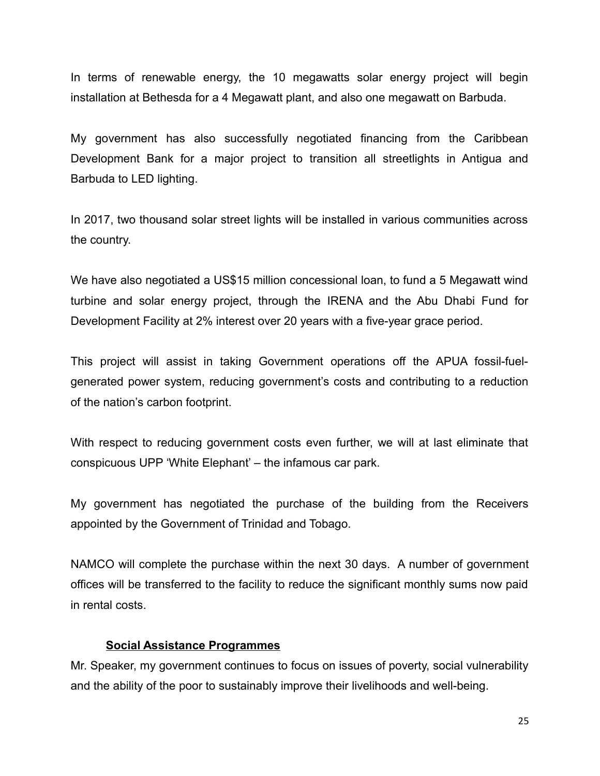In terms of renewable energy, the 10 megawatts solar energy project will begin installation at Bethesda for a 4 Megawatt plant, and also one megawatt on Barbuda.

My government has also successfully negotiated financing from the Caribbean Development Bank for a major project to transition all streetlights in Antigua and Barbuda to LED lighting.

In 2017, two thousand solar street lights will be installed in various communities across the country.

We have also negotiated a US\$15 million concessional loan, to fund a 5 Megawatt wind turbine and solar energy project, through the IRENA and the Abu Dhabi Fund for Development Facility at 2% interest over 20 years with a five-year grace period.

This project will assist in taking Government operations off the APUA fossil-fuelgenerated power system, reducing government's costs and contributing to a reduction of the nation's carbon footprint.

With respect to reducing government costs even further, we will at last eliminate that conspicuous UPP 'White Elephant' – the infamous car park.

My government has negotiated the purchase of the building from the Receivers appointed by the Government of Trinidad and Tobago.

NAMCO will complete the purchase within the next 30 days. A number of government offices will be transferred to the facility to reduce the significant monthly sums now paid in rental costs.

#### **Social Assistance Programmes**

Mr. Speaker, my government continues to focus on issues of poverty, social vulnerability and the ability of the poor to sustainably improve their livelihoods and well-being.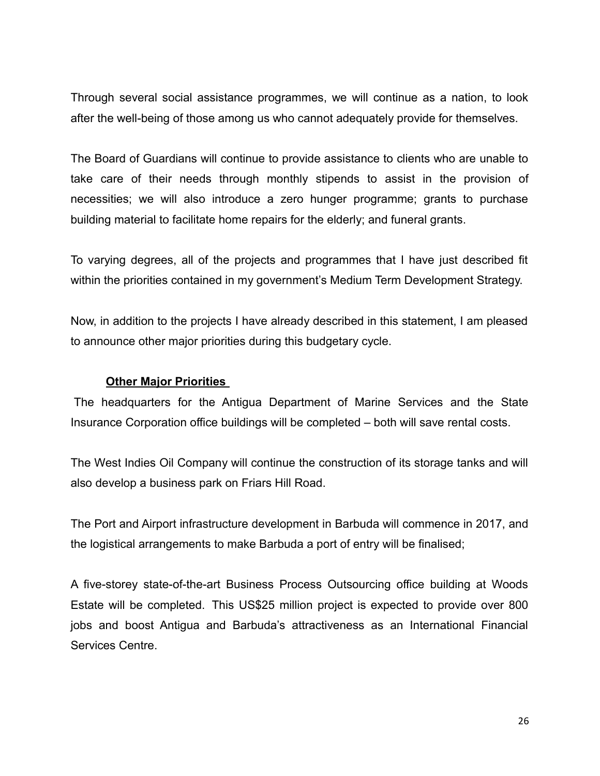Through several social assistance programmes, we will continue as a nation, to look after the well-being of those among us who cannot adequately provide for themselves.

The Board of Guardians will continue to provide assistance to clients who are unable to take care of their needs through monthly stipends to assist in the provision of necessities; we will also introduce a zero hunger programme; grants to purchase building material to facilitate home repairs for the elderly; and funeral grants.

To varying degrees, all of the projects and programmes that I have just described fit within the priorities contained in my government's Medium Term Development Strategy.

Now, in addition to the projects I have already described in this statement, I am pleased to announce other major priorities during this budgetary cycle.

#### **Other Major Priorities**

The headquarters for the Antigua Department of Marine Services and the State Insurance Corporation office buildings will be completed – both will save rental costs.

The West Indies Oil Company will continue the construction of its storage tanks and will also develop a business park on Friars Hill Road.

The Port and Airport infrastructure development in Barbuda will commence in 2017, and the logistical arrangements to make Barbuda a port of entry will be finalised;

A five-storey state-of-the-art Business Process Outsourcing office building at Woods Estate will be completed. This US\$25 million project is expected to provide over 800 jobs and boost Antigua and Barbuda's attractiveness as an International Financial Services Centre.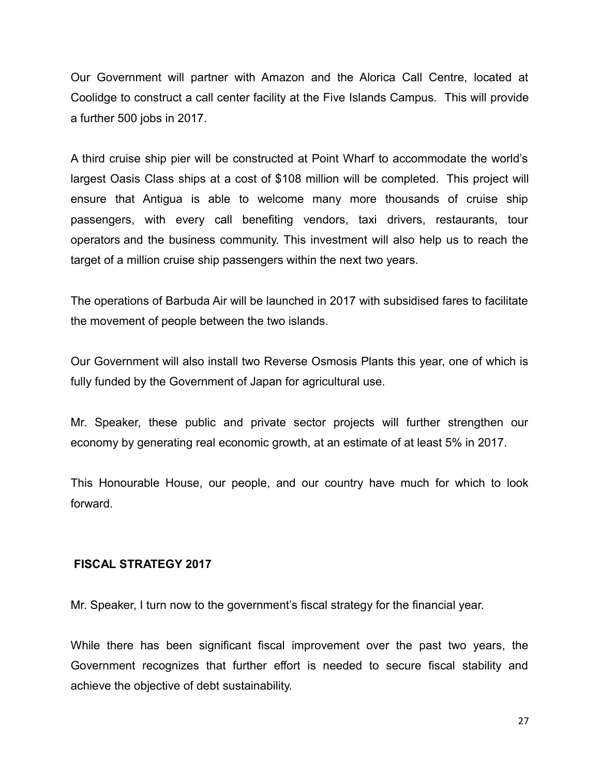Our Government will partner with Amazon and the Alorica Call Centre, located at Coolidge to construct a call center facility at the Five Islands Campus. This will provide a further 500 jobs in 2017.

A third cruise ship pier will be constructed at Point Wharf to accommodate the world's largest Oasis Class ships at a cost of \$108 million will be completed. This project will ensure that Antigua is able to welcome many more thousands of cruise ship passengers, with every call benefiting vendors, taxi drivers, restaurants, tour operators and the business community. This investment will also help us to reach the target of a million cruise ship passengers within the next two years.

The operations of Barbuda Air will be launched in 2017 with subsidised fares to facilitate the movement of people between the two islands.

Our Government will also install two Reverse Osmosis Plants this year, one of which is fully funded by the Government of Japan for agricultural use.

Mr. Speaker, these public and private sector projects will further strengthen our economy by generating real economic growth, at an estimate of at least 5% in 2017.

This Honourable House, our people, and our country have much for which to look forward.

# **FISCAL STRATEGY 2017**

Mr. Speaker, I turn now to the government's fiscal strategy for the financial year.

While there has been significant fiscal improvement over the past two years, the Government recognizes that further effort is needed to secure fiscal stability and achieve the objective of debt sustainability.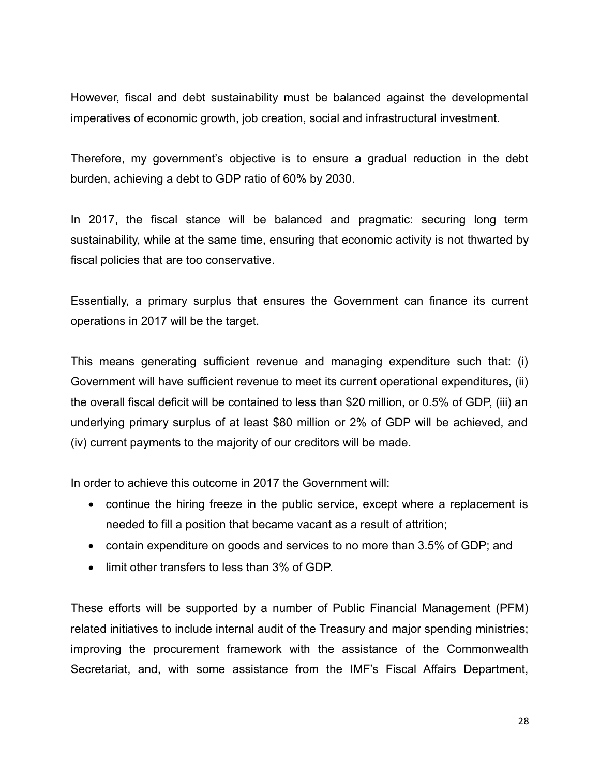However, fiscal and debt sustainability must be balanced against the developmental imperatives of economic growth, job creation, social and infrastructural investment.

Therefore, my government's objective is to ensure a gradual reduction in the debt burden, achieving a debt to GDP ratio of 60% by 2030.

In 2017, the fiscal stance will be balanced and pragmatic: securing long term sustainability, while at the same time, ensuring that economic activity is not thwarted by fiscal policies that are too conservative.

Essentially, a primary surplus that ensures the Government can finance its current operations in 2017 will be the target.

This means generating sufficient revenue and managing expenditure such that: (i) Government will have sufficient revenue to meet its current operational expenditures, (ii) the overall fiscal deficit will be contained to less than \$20 million, or 0.5% of GDP, (iii) an underlying primary surplus of at least \$80 million or 2% of GDP will be achieved, and (iv) current payments to the majority of our creditors will be made.

In order to achieve this outcome in 2017 the Government will:

- continue the hiring freeze in the public service, except where a replacement is needed to fill a position that became vacant as a result of attrition;
- contain expenditure on goods and services to no more than 3.5% of GDP; and
- limit other transfers to less than 3% of GDP.

These efforts will be supported by a number of Public Financial Management (PFM) related initiatives to include internal audit of the Treasury and major spending ministries; improving the procurement framework with the assistance of the Commonwealth Secretariat, and, with some assistance from the IMF's Fiscal Affairs Department,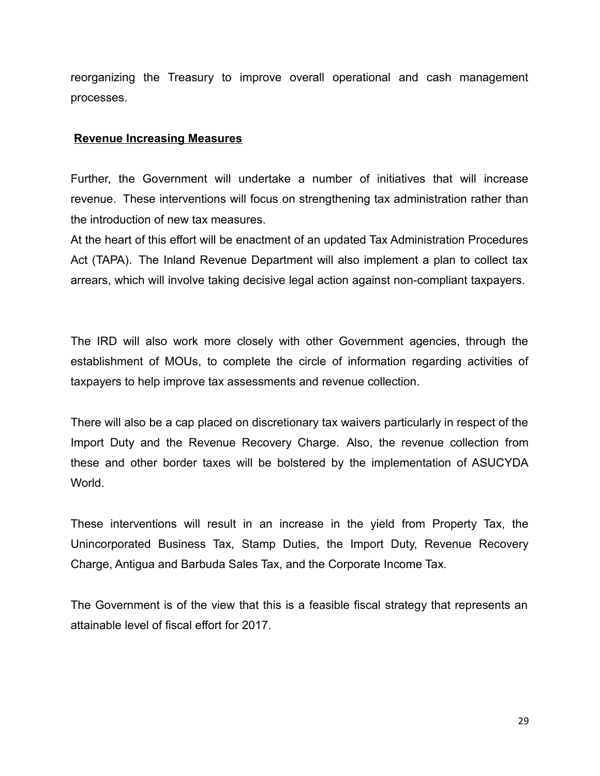reorganizing the Treasury to improve overall operational and cash management processes.

#### **Revenue Increasing Measures**

Further, the Government will undertake a number of initiatives that will increase revenue. These interventions will focus on strengthening tax administration rather than the introduction of new tax measures.

At the heart of this effort will be enactment of an updated Tax Administration Procedures Act (TAPA). The Inland Revenue Department will also implement a plan to collect tax arrears, which will involve taking decisive legal action against non-compliant taxpayers.

The IRD will also work more closely with other Government agencies, through the establishment of MOUs, to complete the circle of information regarding activities of taxpayers to help improve tax assessments and revenue collection.

There will also be a cap placed on discretionary tax waivers particularly in respect of the Import Duty and the Revenue Recovery Charge. Also, the revenue collection from these and other border taxes will be bolstered by the implementation of ASUCYDA World.

These interventions will result in an increase in the yield from Property Tax, the Unincorporated Business Tax, Stamp Duties, the Import Duty, Revenue Recovery Charge, Antigua and Barbuda Sales Tax, and the Corporate Income Tax.

The Government is of the view that this is a feasible fiscal strategy that represents an attainable level of fiscal effort for 2017.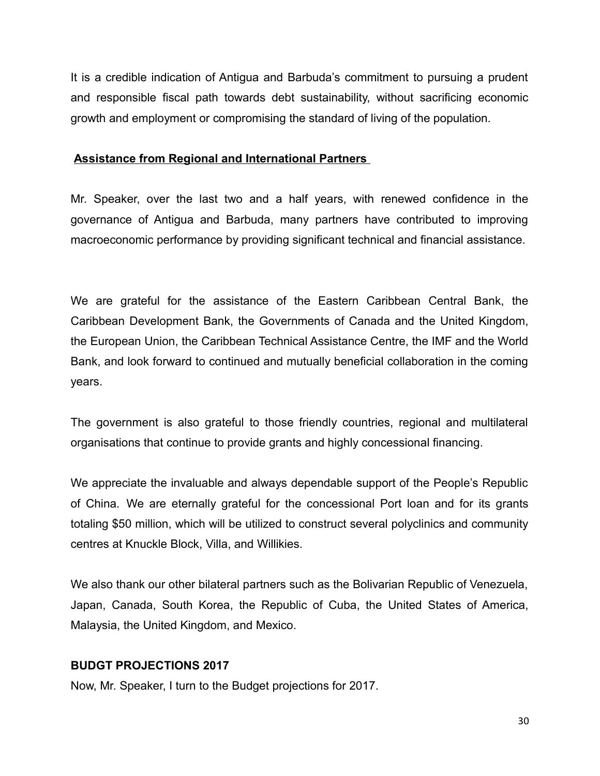It is a credible indication of Antigua and Barbuda's commitment to pursuing a prudent and responsible fiscal path towards debt sustainability, without sacrificing economic growth and employment or compromising the standard of living of the population.

# **Assistance from Regional and International Partners**

Mr. Speaker, over the last two and a half years, with renewed confidence in the governance of Antigua and Barbuda, many partners have contributed to improving macroeconomic performance by providing significant technical and financial assistance.

We are grateful for the assistance of the Eastern Caribbean Central Bank, the Caribbean Development Bank, the Governments of Canada and the United Kingdom, the European Union, the Caribbean Technical Assistance Centre, the IMF and the World Bank, and look forward to continued and mutually beneficial collaboration in the coming years.

The government is also grateful to those friendly countries, regional and multilateral organisations that continue to provide grants and highly concessional financing.

We appreciate the invaluable and always dependable support of the People's Republic of China. We are eternally grateful for the concessional Port loan and for its grants totaling \$50 million, which will be utilized to construct several polyclinics and community centres at Knuckle Block, Villa, and Willikies.

We also thank our other bilateral partners such as the Bolivarian Republic of Venezuela, Japan, Canada, South Korea, the Republic of Cuba, the United States of America, Malaysia, the United Kingdom, and Mexico.

# **BUDGT PROJECTIONS 2017**

Now, Mr. Speaker, I turn to the Budget projections for 2017.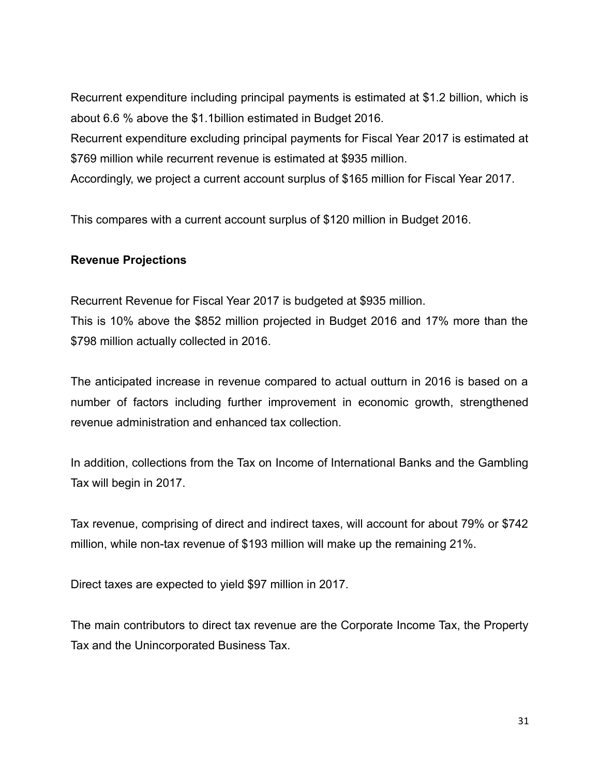Recurrent expenditure including principal payments is estimated at \$1.2 billion, which is about 6.6 % above the \$1.1billion estimated in Budget 2016.

Recurrent expenditure excluding principal payments for Fiscal Year 2017 is estimated at \$769 million while recurrent revenue is estimated at \$935 million.

Accordingly, we project a current account surplus of \$165 million for Fiscal Year 2017.

This compares with a current account surplus of \$120 million in Budget 2016.

# **Revenue Projections**

Recurrent Revenue for Fiscal Year 2017 is budgeted at \$935 million. This is 10% above the \$852 million projected in Budget 2016 and 17% more than the \$798 million actually collected in 2016.

The anticipated increase in revenue compared to actual outturn in 2016 is based on a number of factors including further improvement in economic growth, strengthened revenue administration and enhanced tax collection.

In addition, collections from the Tax on Income of International Banks and the Gambling Tax will begin in 2017.

Tax revenue, comprising of direct and indirect taxes, will account for about 79% or \$742 million, while non-tax revenue of \$193 million will make up the remaining 21%.

Direct taxes are expected to yield \$97 million in 2017.

The main contributors to direct tax revenue are the Corporate Income Tax, the Property Tax and the Unincorporated Business Tax.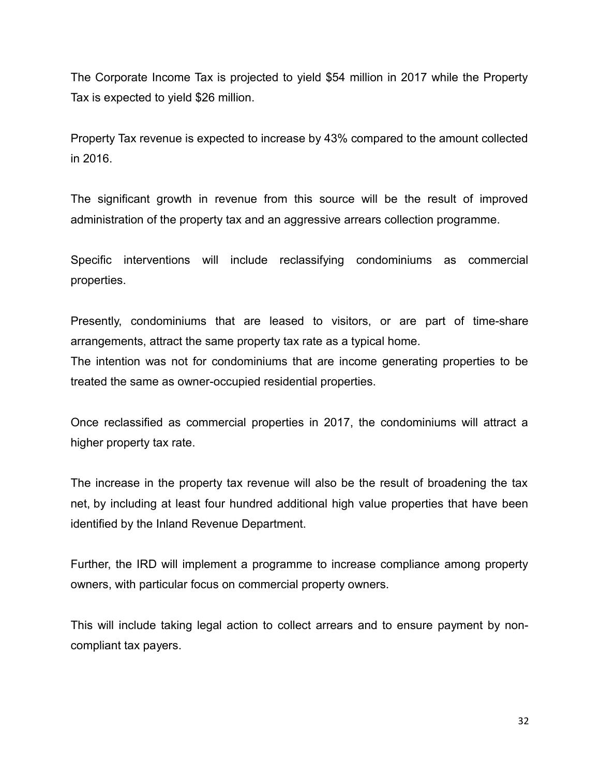The Corporate Income Tax is projected to yield \$54 million in 2017 while the Property Tax is expected to yield \$26 million.

Property Tax revenue is expected to increase by 43% compared to the amount collected in 2016.

The significant growth in revenue from this source will be the result of improved administration of the property tax and an aggressive arrears collection programme.

Specific interventions will include reclassifying condominiums as commercial properties.

Presently, condominiums that are leased to visitors, or are part of time-share arrangements, attract the same property tax rate as a typical home.

The intention was not for condominiums that are income generating properties to be treated the same as owner-occupied residential properties.

Once reclassified as commercial properties in 2017, the condominiums will attract a higher property tax rate.

The increase in the property tax revenue will also be the result of broadening the tax net, by including at least four hundred additional high value properties that have been identified by the Inland Revenue Department.

Further, the IRD will implement a programme to increase compliance among property owners, with particular focus on commercial property owners.

This will include taking legal action to collect arrears and to ensure payment by noncompliant tax payers.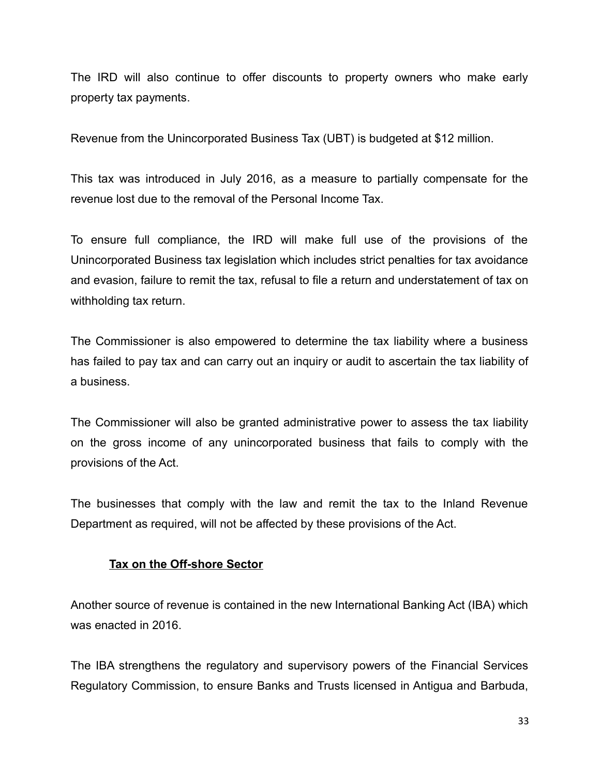The IRD will also continue to offer discounts to property owners who make early property tax payments.

Revenue from the Unincorporated Business Tax (UBT) is budgeted at \$12 million.

This tax was introduced in July 2016, as a measure to partially compensate for the revenue lost due to the removal of the Personal Income Tax.

To ensure full compliance, the IRD will make full use of the provisions of the Unincorporated Business tax legislation which includes strict penalties for tax avoidance and evasion, failure to remit the tax, refusal to file a return and understatement of tax on withholding tax return.

The Commissioner is also empowered to determine the tax liability where a business has failed to pay tax and can carry out an inquiry or audit to ascertain the tax liability of a business.

The Commissioner will also be granted administrative power to assess the tax liability on the gross income of any unincorporated business that fails to comply with the provisions of the Act.

The businesses that comply with the law and remit the tax to the Inland Revenue Department as required, will not be affected by these provisions of the Act.

# **Tax on the Off-shore Sector**

Another source of revenue is contained in the new International Banking Act (IBA) which was enacted in 2016.

The IBA strengthens the regulatory and supervisory powers of the Financial Services Regulatory Commission, to ensure Banks and Trusts licensed in Antigua and Barbuda,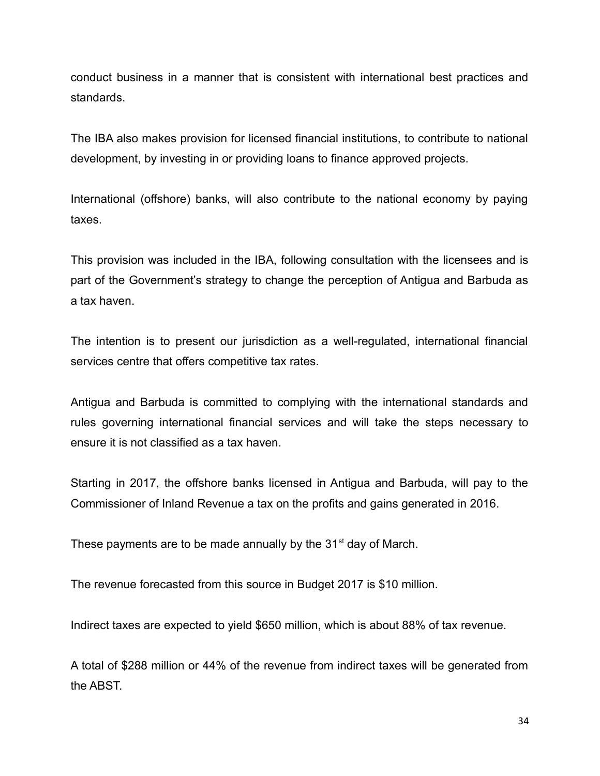conduct business in a manner that is consistent with international best practices and standards.

The IBA also makes provision for licensed financial institutions, to contribute to national development, by investing in or providing loans to finance approved projects.

International (offshore) banks, will also contribute to the national economy by paying taxes.

This provision was included in the IBA, following consultation with the licensees and is part of the Government's strategy to change the perception of Antigua and Barbuda as a tax haven.

The intention is to present our jurisdiction as a well-regulated, international financial services centre that offers competitive tax rates.

Antigua and Barbuda is committed to complying with the international standards and rules governing international financial services and will take the steps necessary to ensure it is not classified as a tax haven.

Starting in 2017, the offshore banks licensed in Antigua and Barbuda, will pay to the Commissioner of Inland Revenue a tax on the profits and gains generated in 2016.

These payments are to be made annually by the  $31<sup>st</sup>$  day of March.

The revenue forecasted from this source in Budget 2017 is \$10 million.

Indirect taxes are expected to yield \$650 million, which is about 88% of tax revenue.

A total of \$288 million or 44% of the revenue from indirect taxes will be generated from the ABST.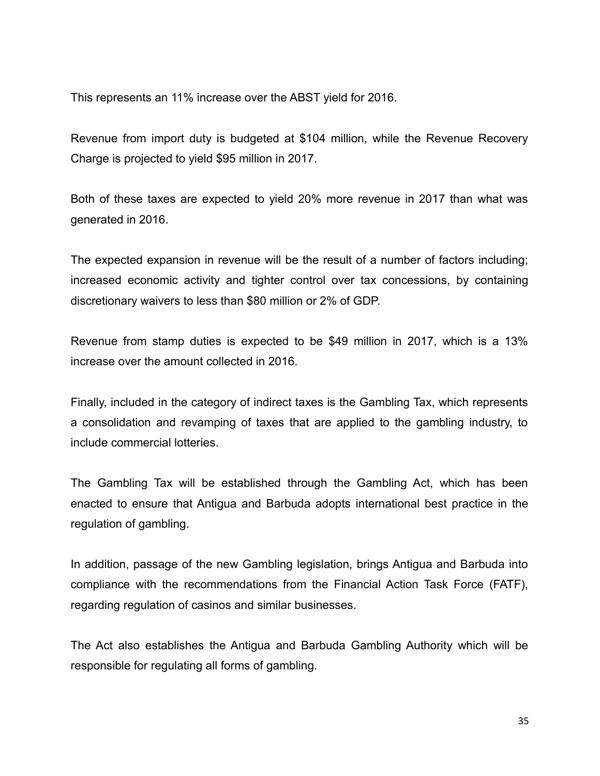This represents an 11% increase over the ABST yield for 2016.

Revenue from import duty is budgeted at \$104 million, while the Revenue Recovery Charge is projected to yield \$95 million in 2017.

Both of these taxes are expected to yield 20% more revenue in 2017 than what was generated in 2016.

The expected expansion in revenue will be the result of a number of factors including; increased economic activity and tighter control over tax concessions, by containing discretionary waivers to less than \$80 million or 2% of GDP.

Revenue from stamp duties is expected to be \$49 million in 2017, which is a 13% increase over the amount collected in 2016.

Finally, included in the category of indirect taxes is the Gambling Tax, which represents a consolidation and revamping of taxes that are applied to the gambling industry, to include commercial lotteries.

The Gambling Tax will be established through the Gambling Act, which has been enacted to ensure that Antigua and Barbuda adopts international best practice in the regulation of gambling.

In addition, passage of the new Gambling legislation, brings Antigua and Barbuda into compliance with the recommendations from the Financial Action Task Force (FATF), regarding regulation of casinos and similar businesses.

The Act also establishes the Antigua and Barbuda Gambling Authority which will be responsible for regulating all forms of gambling.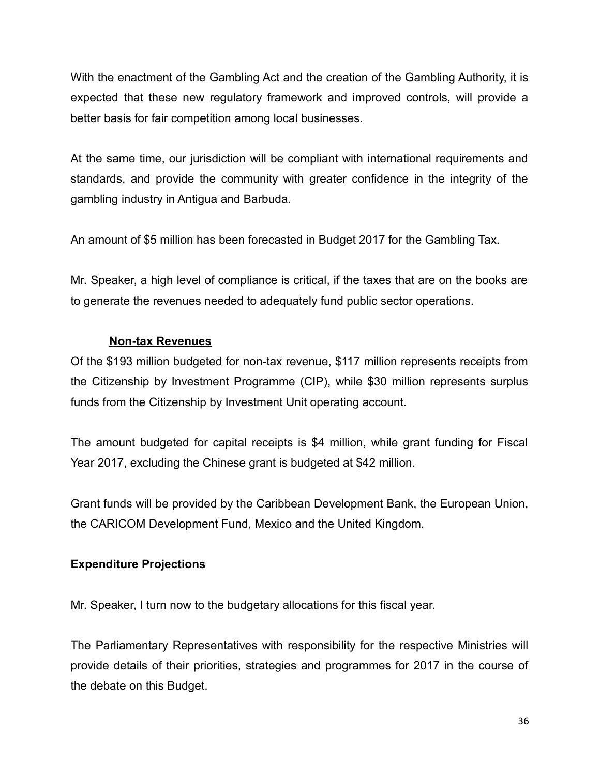With the enactment of the Gambling Act and the creation of the Gambling Authority, it is expected that these new regulatory framework and improved controls, will provide a better basis for fair competition among local businesses.

At the same time, our jurisdiction will be compliant with international requirements and standards, and provide the community with greater confidence in the integrity of the gambling industry in Antigua and Barbuda.

An amount of \$5 million has been forecasted in Budget 2017 for the Gambling Tax.

Mr. Speaker, a high level of compliance is critical, if the taxes that are on the books are to generate the revenues needed to adequately fund public sector operations.

# **Non-tax Revenues**

Of the \$193 million budgeted for non-tax revenue, \$117 million represents receipts from the Citizenship by Investment Programme (CIP), while \$30 million represents surplus funds from the Citizenship by Investment Unit operating account.

The amount budgeted for capital receipts is \$4 million, while grant funding for Fiscal Year 2017, excluding the Chinese grant is budgeted at \$42 million.

Grant funds will be provided by the Caribbean Development Bank, the European Union, the CARICOM Development Fund, Mexico and the United Kingdom.

# **Expenditure Projections**

Mr. Speaker, I turn now to the budgetary allocations for this fiscal year.

The Parliamentary Representatives with responsibility for the respective Ministries will provide details of their priorities, strategies and programmes for 2017 in the course of the debate on this Budget.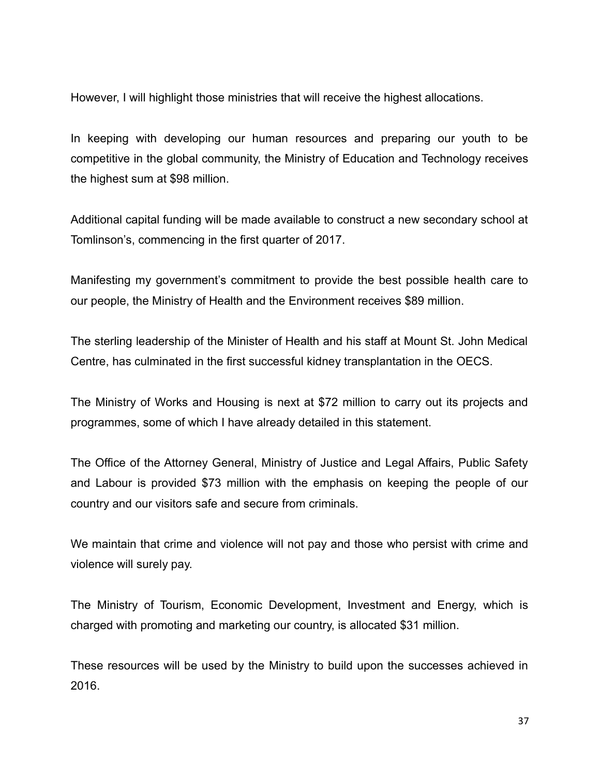However, I will highlight those ministries that will receive the highest allocations.

In keeping with developing our human resources and preparing our youth to be competitive in the global community, the Ministry of Education and Technology receives the highest sum at \$98 million.

Additional capital funding will be made available to construct a new secondary school at Tomlinson's, commencing in the first quarter of 2017.

Manifesting my government's commitment to provide the best possible health care to our people, the Ministry of Health and the Environment receives \$89 million.

The sterling leadership of the Minister of Health and his staff at Mount St. John Medical Centre, has culminated in the first successful kidney transplantation in the OECS.

The Ministry of Works and Housing is next at \$72 million to carry out its projects and programmes, some of which I have already detailed in this statement.

The Office of the Attorney General, Ministry of Justice and Legal Affairs, Public Safety and Labour is provided \$73 million with the emphasis on keeping the people of our country and our visitors safe and secure from criminals.

We maintain that crime and violence will not pay and those who persist with crime and violence will surely pay.

The Ministry of Tourism, Economic Development, Investment and Energy, which is charged with promoting and marketing our country, is allocated \$31 million.

These resources will be used by the Ministry to build upon the successes achieved in 2016.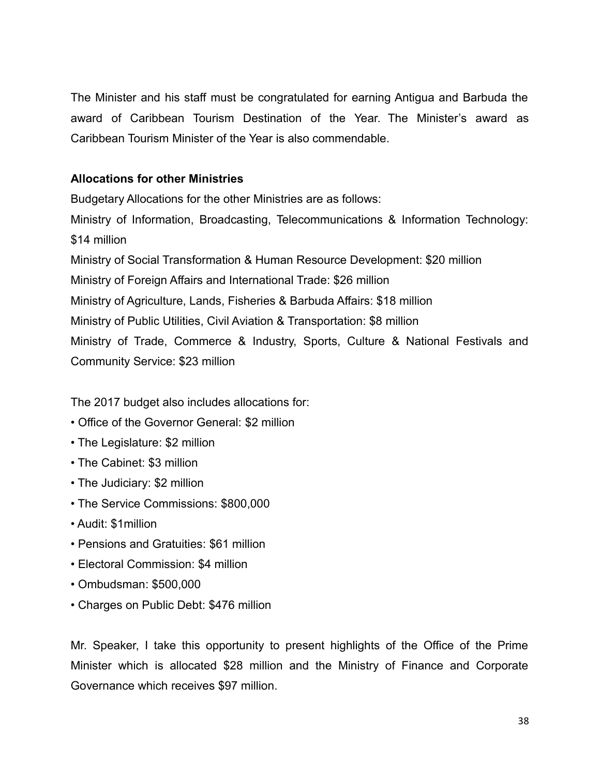The Minister and his staff must be congratulated for earning Antigua and Barbuda the award of Caribbean Tourism Destination of the Year. The Minister's award as Caribbean Tourism Minister of the Year is also commendable.

# **Allocations for other Ministries**

Budgetary Allocations for the other Ministries are as follows: Ministry of Information, Broadcasting, Telecommunications & Information Technology: \$14 million Ministry of Social Transformation & Human Resource Development: \$20 million Ministry of Foreign Affairs and International Trade: \$26 million Ministry of Agriculture, Lands, Fisheries & Barbuda Affairs: \$18 million Ministry of Public Utilities, Civil Aviation & Transportation: \$8 million Ministry of Trade, Commerce & Industry, Sports, Culture & National Festivals and Community Service: \$23 million

The 2017 budget also includes allocations for:

- Office of the Governor General: \$2 million
- The Legislature: \$2 million
- The Cabinet: \$3 million
- The Judiciary: \$2 million
- The Service Commissions: \$800,000
- Audit: \$1million
- Pensions and Gratuities: \$61 million
- Electoral Commission: \$4 million
- Ombudsman: \$500,000
- Charges on Public Debt: \$476 million

Mr. Speaker, I take this opportunity to present highlights of the Office of the Prime Minister which is allocated \$28 million and the Ministry of Finance and Corporate Governance which receives \$97 million.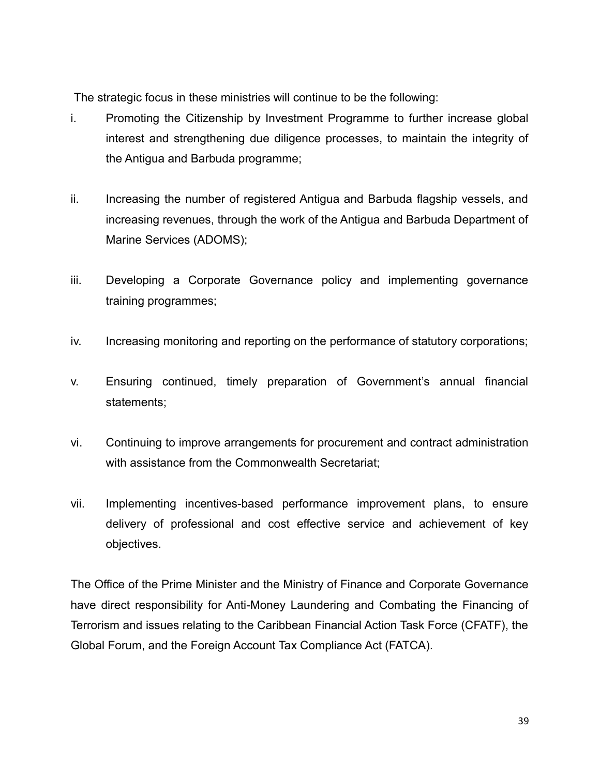The strategic focus in these ministries will continue to be the following:

- i. Promoting the Citizenship by Investment Programme to further increase global interest and strengthening due diligence processes, to maintain the integrity of the Antigua and Barbuda programme;
- ii. Increasing the number of registered Antigua and Barbuda flagship vessels, and increasing revenues, through the work of the Antigua and Barbuda Department of Marine Services (ADOMS);
- iii. Developing a Corporate Governance policy and implementing governance training programmes;
- iv. Increasing monitoring and reporting on the performance of statutory corporations;
- v. Ensuring continued, timely preparation of Government's annual financial statements;
- vi. Continuing to improve arrangements for procurement and contract administration with assistance from the Commonwealth Secretariat;
- vii. Implementing incentives-based performance improvement plans, to ensure delivery of professional and cost effective service and achievement of key objectives.

The Office of the Prime Minister and the Ministry of Finance and Corporate Governance have direct responsibility for Anti-Money Laundering and Combating the Financing of Terrorism and issues relating to the Caribbean Financial Action Task Force (CFATF), the Global Forum, and the Foreign Account Tax Compliance Act (FATCA).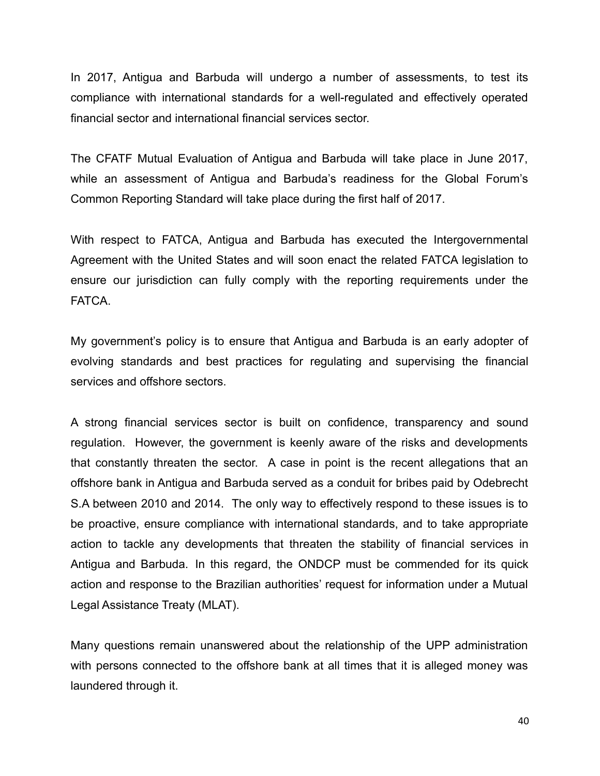In 2017, Antigua and Barbuda will undergo a number of assessments, to test its compliance with international standards for a well-regulated and effectively operated financial sector and international financial services sector.

The CFATF Mutual Evaluation of Antigua and Barbuda will take place in June 2017, while an assessment of Antigua and Barbuda's readiness for the Global Forum's Common Reporting Standard will take place during the first half of 2017.

With respect to FATCA, Antigua and Barbuda has executed the Intergovernmental Agreement with the United States and will soon enact the related FATCA legislation to ensure our jurisdiction can fully comply with the reporting requirements under the FATCA.

My government's policy is to ensure that Antigua and Barbuda is an early adopter of evolving standards and best practices for regulating and supervising the financial services and offshore sectors.

A strong financial services sector is built on confidence, transparency and sound regulation. However, the government is keenly aware of the risks and developments that constantly threaten the sector. A case in point is the recent allegations that an offshore bank in Antigua and Barbuda served as a conduit for bribes paid by Odebrecht S.A between 2010 and 2014. The only way to effectively respond to these issues is to be proactive, ensure compliance with international standards, and to take appropriate action to tackle any developments that threaten the stability of financial services in Antigua and Barbuda. In this regard, the ONDCP must be commended for its quick action and response to the Brazilian authorities' request for information under a Mutual Legal Assistance Treaty (MLAT).

Many questions remain unanswered about the relationship of the UPP administration with persons connected to the offshore bank at all times that it is alleged money was laundered through it.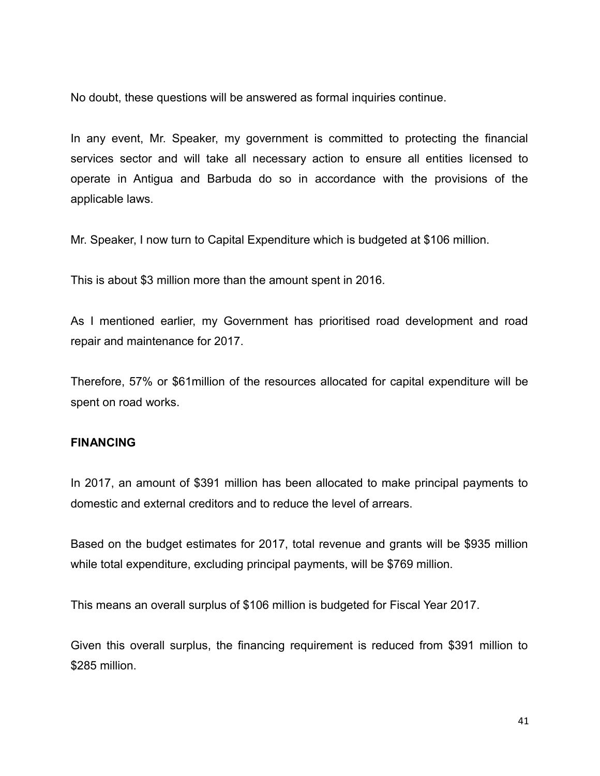No doubt, these questions will be answered as formal inquiries continue.

In any event, Mr. Speaker, my government is committed to protecting the financial services sector and will take all necessary action to ensure all entities licensed to operate in Antigua and Barbuda do so in accordance with the provisions of the applicable laws.

Mr. Speaker, I now turn to Capital Expenditure which is budgeted at \$106 million.

This is about \$3 million more than the amount spent in 2016.

As I mentioned earlier, my Government has prioritised road development and road repair and maintenance for 2017.

Therefore, 57% or \$61million of the resources allocated for capital expenditure will be spent on road works.

#### **FINANCING**

In 2017, an amount of \$391 million has been allocated to make principal payments to domestic and external creditors and to reduce the level of arrears.

Based on the budget estimates for 2017, total revenue and grants will be \$935 million while total expenditure, excluding principal payments, will be \$769 million.

This means an overall surplus of \$106 million is budgeted for Fiscal Year 2017.

Given this overall surplus, the financing requirement is reduced from \$391 million to \$285 million.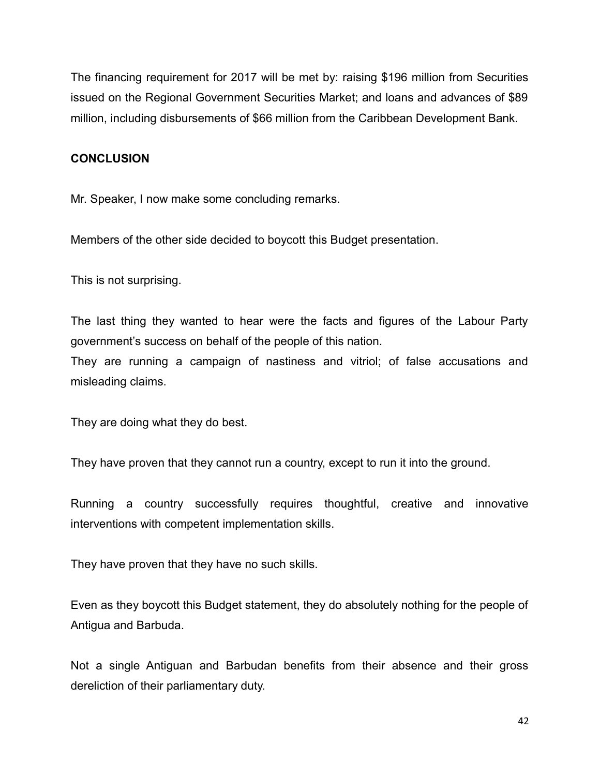The financing requirement for 2017 will be met by: raising \$196 million from Securities issued on the Regional Government Securities Market; and loans and advances of \$89 million, including disbursements of \$66 million from the Caribbean Development Bank.

# **CONCLUSION**

Mr. Speaker, I now make some concluding remarks.

Members of the other side decided to boycott this Budget presentation.

This is not surprising.

The last thing they wanted to hear were the facts and figures of the Labour Party government's success on behalf of the people of this nation.

They are running a campaign of nastiness and vitriol; of false accusations and misleading claims.

They are doing what they do best.

They have proven that they cannot run a country, except to run it into the ground.

Running a country successfully requires thoughtful, creative and innovative interventions with competent implementation skills.

They have proven that they have no such skills.

Even as they boycott this Budget statement, they do absolutely nothing for the people of Antigua and Barbuda.

Not a single Antiguan and Barbudan benefits from their absence and their gross dereliction of their parliamentary duty.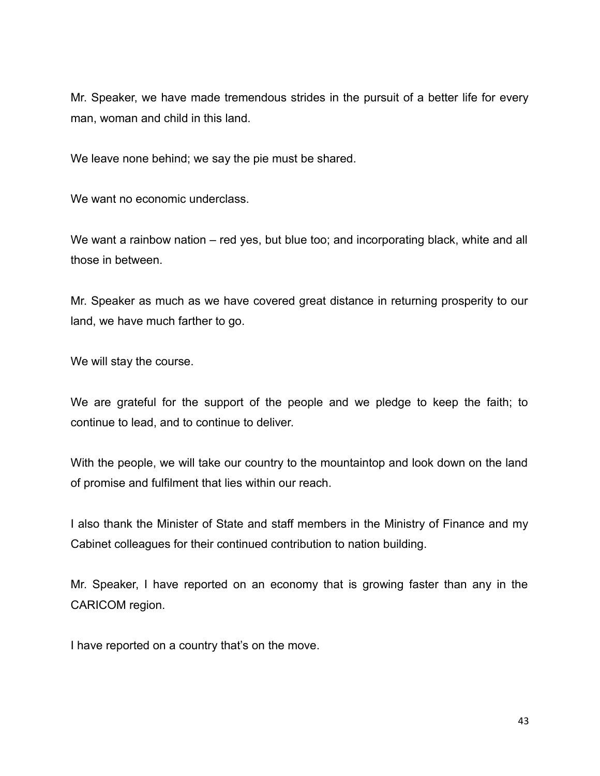Mr. Speaker, we have made tremendous strides in the pursuit of a better life for every man, woman and child in this land.

We leave none behind; we say the pie must be shared.

We want no economic underclass.

We want a rainbow nation – red yes, but blue too; and incorporating black, white and all those in between.

Mr. Speaker as much as we have covered great distance in returning prosperity to our land, we have much farther to go.

We will stay the course.

We are grateful for the support of the people and we pledge to keep the faith; to continue to lead, and to continue to deliver.

With the people, we will take our country to the mountaintop and look down on the land of promise and fulfilment that lies within our reach.

I also thank the Minister of State and staff members in the Ministry of Finance and my Cabinet colleagues for their continued contribution to nation building.

Mr. Speaker, I have reported on an economy that is growing faster than any in the CARICOM region.

I have reported on a country that's on the move.